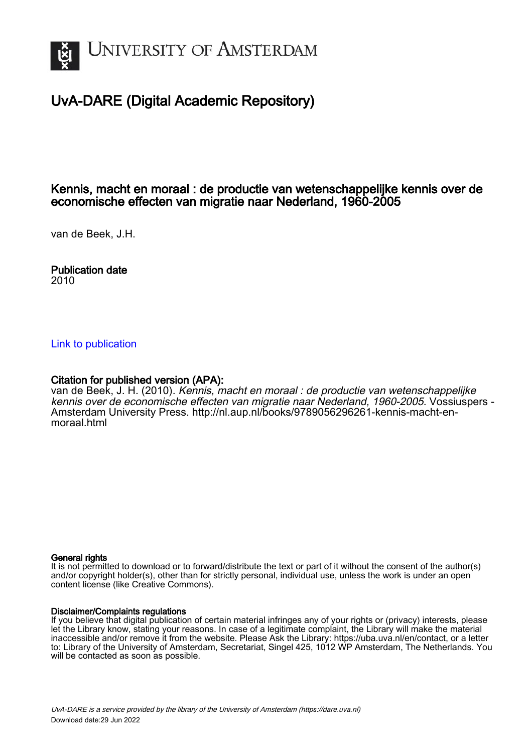

# UvA-DARE (Digital Academic Repository)

## Kennis, macht en moraal : de productie van wetenschappelijke kennis over de economische effecten van migratie naar Nederland, 1960-2005

van de Beek, J.H.

Publication date 2010

#### [Link to publication](https://dare.uva.nl/personal/pure/en/publications/kennis-macht-en-moraal--de-productie-van-wetenschappelijke-kennis-over-de-economische-effecten-van-migratie-naar-nederland-19602005(839e6fe4-90a4-4cc5-b465-18f12ea75f9b).html)

## Citation for published version (APA):

van de Beek, J. H. (2010). Kennis, macht en moraal : de productie van wetenschappelijke kennis over de economische effecten van migratie naar Nederland, 1960-2005. Vossiuspers - Amsterdam University Press. [http://nl.aup.nl/books/9789056296261-kennis-macht-en](http://nl.aup.nl/books/9789056296261-kennis-macht-en-moraal.html)[moraal.html](http://nl.aup.nl/books/9789056296261-kennis-macht-en-moraal.html)

#### General rights

It is not permitted to download or to forward/distribute the text or part of it without the consent of the author(s) and/or copyright holder(s), other than for strictly personal, individual use, unless the work is under an open content license (like Creative Commons).

#### Disclaimer/Complaints regulations

If you believe that digital publication of certain material infringes any of your rights or (privacy) interests, please let the Library know, stating your reasons. In case of a legitimate complaint, the Library will make the material inaccessible and/or remove it from the website. Please Ask the Library: https://uba.uva.nl/en/contact, or a letter to: Library of the University of Amsterdam, Secretariat, Singel 425, 1012 WP Amsterdam, The Netherlands. You will be contacted as soon as possible.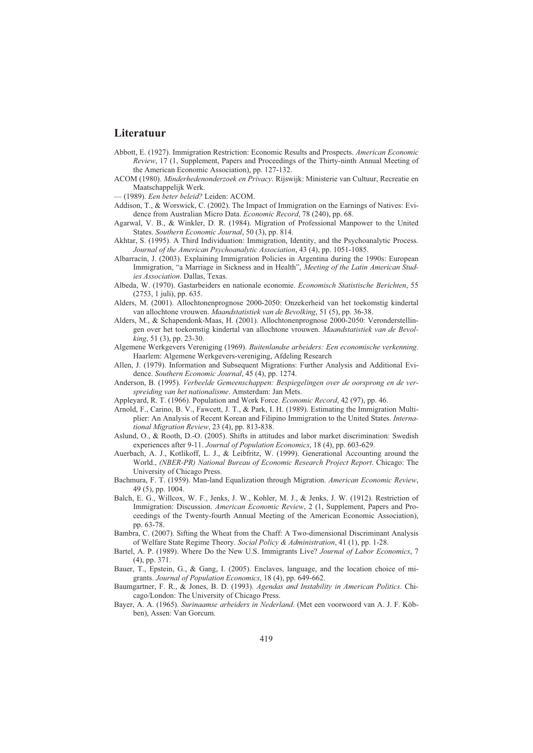## **Literatuur**

- Abbott, E. (1927). Immigration Restriction: Economic Results and Prospects. *American Economic Review*, 17 (1, Supplement, Papers and Proceedings of the Thirty-ninth Annual Meeting of the American Economic Association), pp. 127-132.
- ACOM (1980). *Minderhedenonderzoek en Privacy*. Rijswijk: Ministerie van Cultuur, Recreatie en Maatschappelijk Werk.
- (1989). *Een beter beleid?* Leiden: ACOM.
- Addison, T., & Worswick, C. (2002). The Impact of Immigration on the Earnings of Natives: Evidence from Australian Micro Data. *Economic Record*, 78 (240), pp. 68.
- Agarwal, V. B., & Winkler, D. R. (1984). Migration of Professional Manpower to the United States. *Southern Economic Journal*, 50 (3), pp. 814.
- Akhtar, S. (1995). A Third Individuation: Immigration, Identity, and the Psychoanalytic Process. *Journal of the American Psychoanalytic Association*, 43 (4), pp. 1051-1085.
- Albarracín, J. (2003). Explaining Immigration Policies in Argentina during the 1990s: European Immigration, "a Marriage in Sickness and in Health", *Meeting of the Latin American Studies Association*. Dallas, Texas.
- Albeda, W. (1970). Gastarbeiders en nationale economie. *Economisch Statistische Berichten*, 55 (2753, 1 juli), pp. 635.
- Alders, M. (2001). Allochtonenprognose 2000-2050: Onzekerheid van het toekomstig kindertal van allochtone vrouwen. *Maandstatistiek van de Bevolking*, 51 (5), pp. 36-38.
- Alders, M., & Schapendonk-Maas, H. (2001). Allochtonenprognose 2000-2050: Veronderstellingen over het toekomstig kindertal van allochtone vrouwen. *Maandstatistiek van de Bevolking*, 51 (3), pp. 23-30.
- Algemene Werkgevers Vereniging (1969). *Buitenlandse arbeiders: Een economische verkenning*. Haarlem: Algemene Werkgevers-vereniging, Afdeling Research
- Allen, J. (1979). Information and Subsequent Migrations: Further Analysis and Additional Evidence. *Southern Economic Journal*, 45 (4), pp. 1274.
- Anderson, B. (1995). *Verbeelde Gemeenschappen: Bespiegelingen over de oorsprong en de verspreiding van het nationalisme*. Amsterdam: Jan Mets.
- Appleyard, R. T. (1966). Population and Work Force. *Economic Record*, 42 (97), pp. 46.
- Arnold, F., Carino, B. V., Fawcett, J. T., & Park, I. H. (1989). Estimating the Immigration Multiplier: An Analysis of Recent Korean and Filipino Immigration to the United States. *International Migration Review*, 23 (4), pp. 813-838.
- Aslund, O., & Rooth, D.-O. (2005). Shifts in attitudes and labor market discrimination: Swedish experiences after 9-11. *Journal of Population Economics*, 18 (4), pp. 603-629.
- Auerbach, A. J., Kotlikoff, L. J., & Leibfritz, W. (1999). Generational Accounting around the World., *(NBER-PR) National Bureau of Economic Research Project Report*. Chicago: The University of Chicago Press.
- Bachmura, F. T. (1959). Man-land Equalization through Migration. *American Economic Review*, 49 (5), pp. 1004.
- Balch, E. G., Willcox, W. F., Jenks, J. W., Kohler, M. J., & Jenks, J. W. (1912). Restriction of Immigration: Discussion. *American Economic Review*, 2 (1, Supplement, Papers and Proceedings of the Twenty-fourth Annual Meeting of the American Economic Association), pp. 63-78.
- Bambra, C. (2007). Sifting the Wheat from the Chaff: A Two-dimensional Discriminant Analysis of Welfare State Regime Theory. *Social Policy & Administration*, 41 (1), pp. 1-28.
- Bartel, A. P. (1989). Where Do the New U.S. Immigrants Live? *Journal of Labor Economics*, 7 (4), pp. 371.
- Bauer, T., Epstein, G., & Gang, I. (2005). Enclaves, language, and the location choice of migrants. *Journal of Population Economics*, 18 (4), pp. 649-662.
- Baumgartner, F. R., & Jones, B. D. (1993). *Agendas and Instability in American Politics*. Chicago/London: The University of Chicago Press.
- Bayer, A. A. (1965). *Surinaamse arbeiders in Nederland*. (Met een voorwoord van A. J. F. Köbben), Assen: Van Gorcum.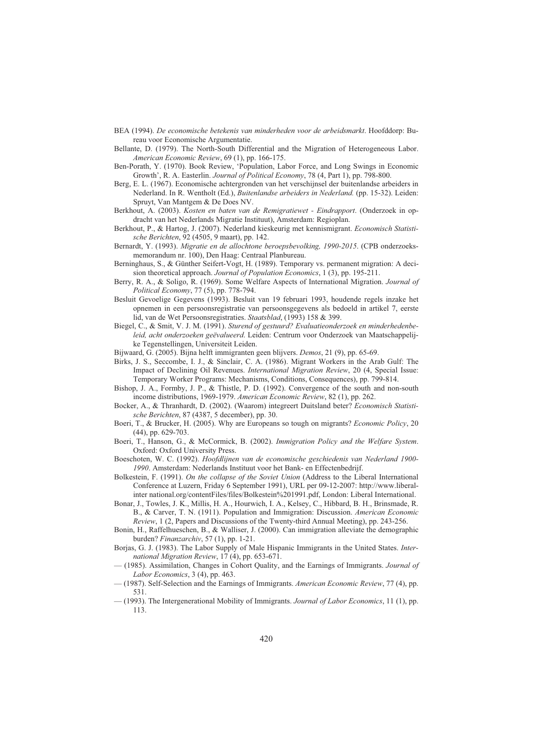- BEA (1994). *De economische betekenis van minderheden voor de arbeidsmarkt*. Hoofddorp: Bureau voor Economische Argumentatie.
- Bellante, D. (1979). The North-South Differential and the Migration of Heterogeneous Labor. *American Economic Review*, 69 (1), pp. 166-175.
- Ben-Porath, Y. (1970). Book Review, 'Population, Labor Force, and Long Swings in Economic Growth', R. A. Easterlin. *Journal of Political Economy*, 78 (4, Part 1), pp. 798-800.
- Berg, E. L. (1967). Economische achtergronden van het verschijnsel der buitenlandse arbeiders in Nederland. In R. Wentholt (Ed.), *Buitenlandse arbeiders in Nederland.* (pp. 15-32). Leiden: Spruyt, Van Mantgem & De Does NV.
- Berkhout, A. (2003). *Kosten en baten van de Remigratiewet Eindrapport*. (Onderzoek in opdracht van het Nederlands Migratie Instituut), Amsterdam: Regioplan.
- Berkhout, P., & Hartog, J. (2007). Nederland kieskeurig met kennismigrant. *Economisch Statistische Berichten*, 92 (4505, 9 maart), pp. 142.
- Bernardt, Y. (1993). *Migratie en de allochtone beroepsbevolking, 1990-2015*. (CPB onderzoeksmemorandum nr. 100), Den Haag: Centraal Planbureau.
- Berninghaus, S., & Günther Seifert-Vogt, H. (1989). Temporary vs. permanent migration: A decision theoretical approach. *Journal of Population Economics*, 1 (3), pp. 195-211.
- Berry, R. A., & Soligo, R. (1969). Some Welfare Aspects of International Migration. *Journal of Political Economy*, 77 (5), pp. 778-794.
- Besluit Gevoelige Gegevens (1993). Besluit van 19 februari 1993, houdende regels inzake het opnemen in een persoonsregistratie van persoonsgegevens als bedoeld in artikel 7, eerste lid, van de Wet Persoonsregistraties. *Staatsblad*, (1993) 158 & 399.
- Biegel, C., & Smit, V. J. M. (1991). *Sturend of gestuurd? Evaluatieonderzoek en minderhedenbeleid, acht onderzoeken geëvalueerd*. Leiden: Centrum voor Onderzoek van Maatschappelijke Tegenstellingen, Universiteit Leiden.
- Bijwaard, G. (2005). Bijna helft immigranten geen blijvers. *Demos*, 21 (9), pp. 65-69.
- Birks, J. S., Seccombe, I. J., & Sinclair, C. A. (1986). Migrant Workers in the Arab Gulf: The Impact of Declining Oil Revenues. *International Migration Review*, 20 (4, Special Issue: Temporary Worker Programs: Mechanisms, Conditions, Consequences), pp. 799-814.
- Bishop, J. A., Formby, J. P., & Thistle, P. D. (1992). Convergence of the south and non-south income distributions, 1969-1979. *American Economic Review*, 82 (1), pp. 262.
- Bocker, A., & Thranhardt, D. (2002). (Waarom) integreert Duitsland beter? *Economisch Statistische Berichten*, 87 (4387, 5 december), pp. 30.
- Boeri, T., & Brucker, H. (2005). Why are Europeans so tough on migrants? *Economic Policy*, 20 (44), pp. 629-703.
- Boeri, T., Hanson, G., & McCormick, B. (2002). *Immigration Policy and the Welfare System*. Oxford: Oxford University Press.
- Boeschoten, W. C. (1992). *Hoofdlijnen van de economische geschiedenis van Nederland 1900- 1990*. Amsterdam: Nederlands Instituut voor het Bank- en Effectenbedrijf.
- Bolkestein, F. (1991). *On the collapse of the Soviet Union* (Address to the Liberal International Conference at Luzern, Friday 6 September 1991), URL per 09-12-2007: http://www.liberalinter national.org/contentFiles/files/Bolkestein%201991.pdf, London: Liberal International.
- Bonar, J., Towles, J. K., Millis, H. A., Hourwich, I. A., Kelsey, C., Hibbard, B. H., Brinsmade, R. B., & Carver, T. N. (1911). Population and Immigration: Discussion. *American Economic Review*, 1 (2, Papers and Discussions of the Twenty-third Annual Meeting), pp. 243-256.
- Bonin, H., Raffelhueschen, B., & Walliser, J. (2000). Can immigration alleviate the demographic burden? *Finanzarchiv*, 57 (1), pp. 1-21.
- Borjas, G. J. (1983). The Labor Supply of Male Hispanic Immigrants in the United States. *International Migration Review*, 17 (4), pp. 653-671.
- (1985). Assimilation, Changes in Cohort Quality, and the Earnings of Immigrants. *Journal of Labor Economics*, 3 (4), pp. 463.
- (1987). Self-Selection and the Earnings of Immigrants. *American Economic Review*, 77 (4), pp. 531.
- (1993). The Intergenerational Mobility of Immigrants. *Journal of Labor Economics*, 11 (1), pp. 113.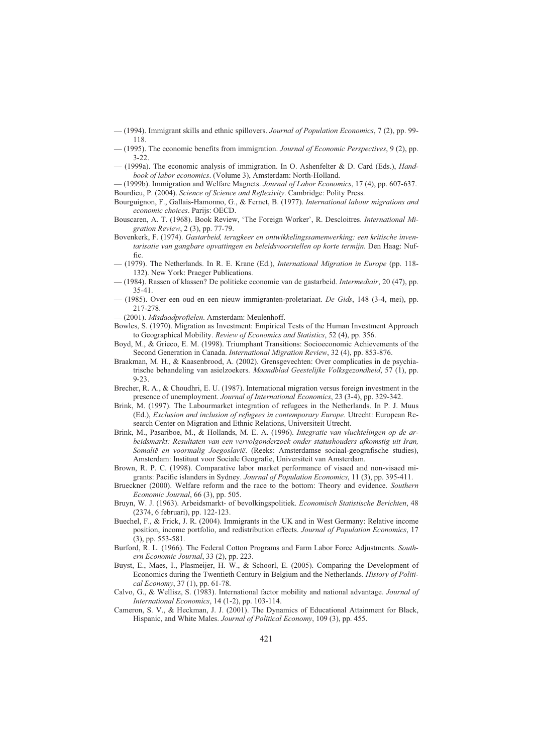- (1994). Immigrant skills and ethnic spillovers. *Journal of Population Economics*, 7 (2), pp. 99- 118.
- (1995). The economic benefits from immigration. *Journal of Economic Perspectives*, 9 (2), pp. 3-22.
- (1999a). The economic analysis of immigration. In O. Ashenfelter & D. Card (Eds.), *Handbook of labor economics*. (Volume 3), Amsterdam: North-Holland.
- (1999b). Immigration and Welfare Magnets. *Journal of Labor Economics*, 17 (4), pp. 607-637. Bourdieu, P. (2004). *Science of Science and Reflexivity*. Cambridge: Polity Press.
- Bourguignon, F., Gallais-Hamonno, G., & Fernet, B. (1977). *International labour migrations and economic choices*. Parijs: OECD.
- Bouscaren, A. T. (1968). Book Review, 'The Foreign Worker', R. Descloitres. *International Migration Review*, 2 (3), pp. 77-79.
- Bovenkerk, F. (1974). *Gastarbeid, terugkeer en ontwikkelingssamenwerking: een kritische inventarisatie van gangbare opvattingen en beleidsvoorstellen op korte termijn*. Den Haag: Nuffic.
- (1979). The Netherlands. In R. E. Krane (Ed.), *International Migration in Europe* (pp. 118- 132). New York: Praeger Publications.
- (1984). Rassen of klassen? De politieke economie van de gastarbeid. *Intermediair*, 20 (47), pp. 35-41.
- (1985). Over een oud en een nieuw immigranten-proletariaat. *De Gids*, 148 (3-4, mei), pp. 217-278.
- (2001). *Misdaadprofielen*. Amsterdam: Meulenhoff.
- Bowles, S. (1970). Migration as Investment: Empirical Tests of the Human Investment Approach to Geographical Mobility. *Review of Economics and Statistics*, 52 (4), pp. 356.
- Boyd, M., & Grieco, E. M. (1998). Triumphant Transitions: Socioeconomic Achievements of the Second Generation in Canada. *International Migration Review*, 32 (4), pp. 853-876.
- Braakman, M. H., & Kaasenbrood, A. (2002). Grensgevechten: Over complicaties in de psychiatrische behandeling van asielzoekers. *Maandblad Geestelijke Volksgezondheid*, 57 (1), pp. 9-23.
- Brecher, R. A., & Choudhri, E. U. (1987). International migration versus foreign investment in the presence of unemployment. *Journal of International Economics*, 23 (3-4), pp. 329-342.
- Brink, M. (1997). The Labourmarket integration of refugees in the Netherlands. In P. J. Muus (Ed.), *Exclusion and inclusion of refugees in contemporary Europe.* Utrecht: European Research Center on Migration and Ethnic Relations, Universiteit Utrecht.
- Brink, M., Pasariboe, M., & Hollands, M. E. A. (1996). *Integratie van vluchtelingen op de arbeidsmarkt: Resultaten van een vervolgonderzoek onder statushouders afkomstig uit Iran, Somalië en voormalig Joegoslavië*. (Reeks: Amsterdamse sociaal-geografische studies), Amsterdam: Instituut voor Sociale Geografie, Universiteit van Amsterdam.
- Brown, R. P. C. (1998). Comparative labor market performance of visaed and non-visaed migrants: Pacific islanders in Sydney. *Journal of Population Economics*, 11 (3), pp. 395-411.
- Brueckner (2000). Welfare reform and the race to the bottom: Theory and evidence. *Southern Economic Journal*, 66 (3), pp. 505.
- Bruyn, W. J. (1963). Arbeidsmarkt- of bevolkingspolitiek. *Economisch Statistische Berichten*, 48 (2374, 6 februari), pp. 122-123.
- Buechel, F., & Frick, J. R. (2004). Immigrants in the UK and in West Germany: Relative income position, income portfolio, and redistribution effects. *Journal of Population Economics*, 17 (3), pp. 553-581.
- Burford, R. L. (1966). The Federal Cotton Programs and Farm Labor Force Adjustments. *Southern Economic Journal*, 33 (2), pp. 223.
- Buyst, E., Maes, I., Plasmeijer, H. W., & Schoorl, E. (2005). Comparing the Development of Economics during the Twentieth Century in Belgium and the Netherlands. *History of Political Economy*, 37 (1), pp. 61-78.
- Calvo, G., & Wellisz, S. (1983). International factor mobility and national advantage. *Journal of International Economics*, 14 (1-2), pp. 103-114.
- Cameron, S. V., & Heckman, J. J. (2001). The Dynamics of Educational Attainment for Black, Hispanic, and White Males. *Journal of Political Economy*, 109 (3), pp. 455.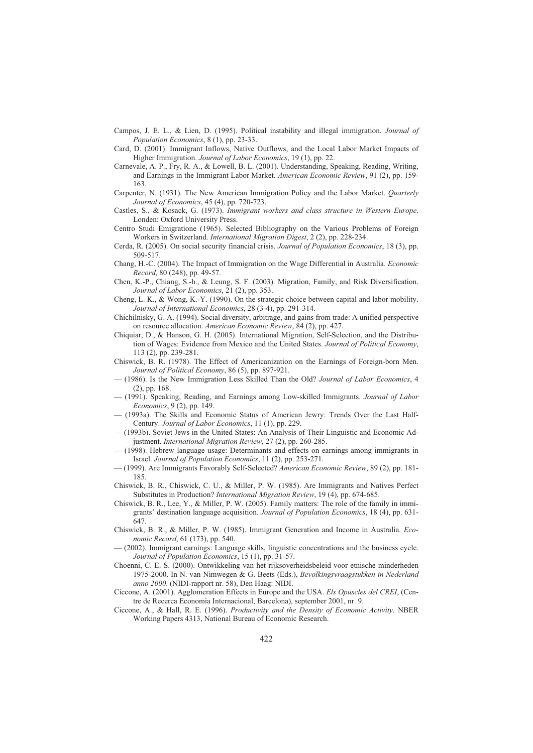- Campos, J. E. L., & Lien, D. (1995). Political instability and illegal immigration. *Journal of Population Economics*, 8 (1), pp. 23-33.
- Card, D. (2001). Immigrant Inflows, Native Outflows, and the Local Labor Market Impacts of Higher Immigration. *Journal of Labor Economics*, 19 (1), pp. 22.
- Carnevale, A. P., Fry, R. A., & Lowell, B. L. (2001). Understanding, Speaking, Reading, Writing, and Earnings in the Immigrant Labor Market. *American Economic Review*, 91 (2), pp. 159- 163.
- Carpenter, N. (1931). The New American Immigration Policy and the Labor Market. *Quarterly Journal of Economics*, 45 (4), pp. 720-723.
- Castles, S., & Kosack, G. (1973). *Immigrant workers and class structure in Western Europe*. Londen: Oxford University Press.
- Centro Studi Emigratione (1965). Selected Bibliography on the Various Problems of Foreign Workers in Switzerland. *International Migration Digest*, 2 (2), pp. 228-234.
- Cerda, R. (2005). On social security financial crisis. *Journal of Population Economics*, 18 (3), pp. 509-517.
- Chang, H.-C. (2004). The Impact of Immigration on the Wage Differential in Australia. *Economic Record*, 80 (248), pp. 49-57.
- Chen, K.-P., Chiang, S.-h., & Leung, S. F. (2003). Migration, Family, and Risk Diversification. *Journal of Labor Economics*, 21 (2), pp. 353.
- Cheng, L. K., & Wong, K.-Y. (1990). On the strategic choice between capital and labor mobility. *Journal of International Economics*, 28 (3-4), pp. 291-314.
- Chichilnisky, G. A. (1994). Social diversity, arbitrage, and gains from trade: A unified perspective on resource allocation. *American Economic Review*, 84 (2), pp. 427.
- Chiquiar, D., & Hanson, G. H. (2005). International Migration, Self-Selection, and the Distribution of Wages: Evidence from Mexico and the United States. *Journal of Political Economy*, 113 (2), pp. 239-281.
- Chiswick, B. R. (1978). The Effect of Americanization on the Earnings of Foreign-born Men. *Journal of Political Economy*, 86 (5), pp. 897-921.
- (1986). Is the New Immigration Less Skilled Than the Old? *Journal of Labor Economics*, 4 (2), pp. 168.
- (1991). Speaking, Reading, and Earnings among Low-skilled Immigrants. *Journal of Labor Economics*, 9 (2), pp. 149.
- (1993a). The Skills and Economic Status of American Jewry: Trends Over the Last Half-Century. *Journal of Labor Economics*, 11 (1), pp. 229.
- (1993b). Soviet Jews in the United States: An Analysis of Their Linguistic and Economic Adjustment. *International Migration Review*, 27 (2), pp. 260-285.
- (1998). Hebrew language usage: Determinants and effects on earnings among immigrants in Israel. *Journal of Population Economics*, 11 (2), pp. 253-271.
- (1999). Are Immigrants Favorably Self-Selected? *American Economic Review*, 89 (2), pp. 181- 185.
- Chiswick, B. R., Chiswick, C. U., & Miller, P. W. (1985). Are Immigrants and Natives Perfect Substitutes in Production? *International Migration Review*, 19 (4), pp. 674-685.
- Chiswick, B. R., Lee, Y., & Miller, P. W. (2005). Family matters: The role of the family in immigrants' destination language acquisition. *Journal of Population Economics*, 18 (4), pp. 631- 647.
- Chiswick, B. R., & Miller, P. W. (1985). Immigrant Generation and Income in Australia. *Economic Record*, 61 (173), pp. 540.
- (2002). Immigrant earnings: Language skills, linguistic concentrations and the business cycle. *Journal of Population Economics*, 15 (1), pp. 31-57.
- Choenni, C. E. S. (2000). Ontwikkeling van het rijksoverheidsbeleid voor etnische minderheden 1975-2000. In N. van Nimwegen & G. Beets (Eds.), *Bevolkingsvraagstukken in Nederland anno 2000*. (NIDI-rapport nr. 58), Den Haag: NIDI.
- Ciccone, A. (2001). Agglomeration Effects in Europe and the USA. *Els Opuscles del CREI*, (Centre de Recerca Economia Internacional, Barcelona), september 2001, nr. 9.
- Ciccone, A., & Hall, R. E. (1996). *Productivity and the Density of Economic Activity*. NBER Working Papers 4313, National Bureau of Economic Research.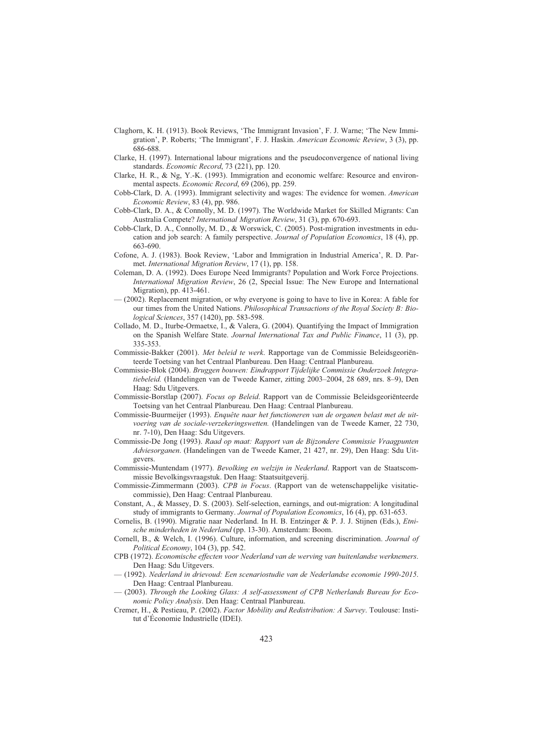- Claghorn, K. H. (1913). Book Reviews, 'The Immigrant Invasion', F. J. Warne; 'The New Immigration', P. Roberts; 'The Immigrant', F. J. Haskin. *American Economic Review*, 3 (3), pp. 686-688.
- Clarke, H. (1997). International labour migrations and the pseudoconvergence of national living standards. *Economic Record*, 73 (221), pp. 120.
- Clarke, H. R., & Ng, Y.-K. (1993). Immigration and economic welfare: Resource and environmental aspects. *Economic Record*, 69 (206), pp. 259.
- Cobb-Clark, D. A. (1993). Immigrant selectivity and wages: The evidence for women. *American Economic Review*, 83 (4), pp. 986.
- Cobb-Clark, D. A., & Connolly, M. D. (1997). The Worldwide Market for Skilled Migrants: Can Australia Compete? *International Migration Review*, 31 (3), pp. 670-693.
- Cobb-Clark, D. A., Connolly, M. D., & Worswick, C. (2005). Post-migration investments in education and job search: A family perspective. *Journal of Population Economics*, 18 (4), pp. 663-690.
- Cofone, A. J. (1983). Book Review, 'Labor and Immigration in Industrial America', R. D. Parmet. *International Migration Review*, 17 (1), pp. 158.
- Coleman, D. A. (1992). Does Europe Need Immigrants? Population and Work Force Projections. *International Migration Review*, 26 (2, Special Issue: The New Europe and International Migration), pp. 413-461.
- (2002). Replacement migration, or why everyone is going to have to live in Korea: A fable for our times from the United Nations. *Philosophical Transactions of the Royal Society B: Biological Sciences*, 357 (1420), pp. 583-598.
- Collado, M. D., Iturbe-Ormaetxe, I., & Valera, G. (2004). Quantifying the Impact of Immigration on the Spanish Welfare State. *Journal International Tax and Public Finance*, 11 (3), pp. 335-353.
- Commissie-Bakker (2001). *Met beleid te werk*. Rapportage van de Commissie Beleidsgeoriënteerde Toetsing van het Centraal Planbureau. Den Haag: Centraal Planbureau.
- Commissie-Blok (2004). *Bruggen bouwen: Eindrapport Tijdelijke Commissie Onderzoek Integratiebeleid.* (Handelingen van de Tweede Kamer, zitting 2003–2004, 28 689, nrs. 8–9), Den Haag: Sdu Uitgevers.
- Commissie-Borstlap (2007). *Focus op Beleid*. Rapport van de Commissie Beleidsgeoriënteerde Toetsing van het Centraal Planbureau. Den Haag: Centraal Planbureau.
- Commissie-Buurmeijer (1993). *Enquête naar het functioneren van de organen belast met de uitvoering van de sociale-verzekeringswetten.* (Handelingen van de Tweede Kamer, 22 730, nr. 7-10), Den Haag: Sdu Uitgevers.
- Commissie-De Jong (1993). *Raad op maat: Rapport van de Bijzondere Commissie Vraagpunten Adviesorganen*. (Handelingen van de Tweede Kamer, 21 427, nr. 29), Den Haag: Sdu Uitgevers.
- Commissie-Muntendam (1977). *Bevolking en welzijn in Nederland*. Rapport van de Staatscommissie Bevolkingsvraagstuk. Den Haag: Staatsuitgeverij.
- Commissie-Zimmermann (2003). *CPB in Focus*. (Rapport van de wetenschappelijke visitatiecommissie), Den Haag: Centraal Planbureau.
- Constant, A., & Massey, D. S. (2003). Self-selection, earnings, and out-migration: A longitudinal study of immigrants to Germany. *Journal of Population Economics*, 16 (4), pp. 631-653.
- Cornelis, B. (1990). Migratie naar Nederland. In H. B. Entzinger & P. J. J. Stijnen (Eds.), *Etnische minderheden in Nederland* (pp. 13-30). Amsterdam: Boom.
- Cornell, B., & Welch, I. (1996). Culture, information, and screening discrimination. *Journal of Political Economy*, 104 (3), pp. 542.
- CPB (1972). *Economische effecten voor Nederland van de werving van buitenlandse werknemers*. Den Haag: Sdu Uitgevers.
- (1992). *Nederland in drievoud: Een scenariostudie van de Nederlandse economie 1990-2015*. Den Haag: Centraal Planbureau.
- (2003). *Through the Looking Glass: A self-assessment of CPB Netherlands Bureau for Economic Policy Analysis*. Den Haag: Centraal Planbureau.
- Cremer, H., & Pestieau, P. (2002). *Factor Mobility and Redistribution: A Survey*. Toulouse: Institut d'Économie Industrielle (IDEI).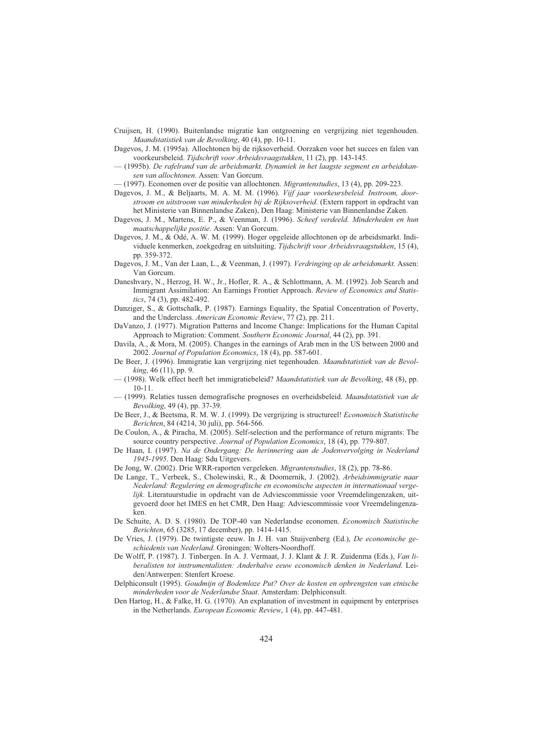Cruijsen, H. (1990). Buitenlandse migratie kan ontgroening en vergrijzing niet tegenhouden. *Maandstatistiek van de Bevolking*, 40 (4), pp. 10-11.

- Dagevos, J. M. (1995a). Allochtonen bij de rijksoverheid. Oorzaken voor het succes en falen van voorkeursbeleid. *Tijdschrift voor Arbeidsvraagstukken*, 11 (2), pp. 143-145.
- (1995b). *De rafelrand van de arbeidsmarkt. Dynamiek in het laagste segment en arbeidskansen van allochtonen*. Assen: Van Gorcum.
- (1997). Economen over de positie van allochtonen. *Migrantenstudies*, 13 (4), pp. 209-223.
- Dagevos, J. M., & Beljaarts, M. A. M. M. (1996). *Vijf jaar voorkeursbeleid. Instroom, doorstroom en uitstroom van minderheden bij de Rijksoverheid*. (Extern rapport in opdracht van het Ministerie van Binnenlandse Zaken), Den Haag: Ministerie van Binnenlandse Zaken.
- Dagevos, J. M., Martens, E. P., & Veenman, J. (1996). *Scheef verdeeld. Minderheden en hun maatschappelijke positie*. Assen: Van Gorcum.
- Dagevos, J. M., & Odé, A. W. M. (1999). Hoger opgeleide allochtonen op de arbeidsmarkt. Individuele kenmerken, zoekgedrag en uitsluiting. *Tijdschrift voor Arbeidsvraagstukken*, 15 (4), pp. 359-372.
- Dagevos, J. M., Van der Laan, L., & Veenman, J. (1997). *Verdringing op de arbeidsmarkt*. Assen: Van Gorcum.
- Daneshvary, N., Herzog, H. W., Jr., Hofler, R. A., & Schlottmann, A. M. (1992). Job Search and Immigrant Assimilation: An Earnings Frontier Approach. *Review of Economics and Statistics*, 74 (3), pp. 482-492.
- Danziger, S., & Gottschalk, P. (1987). Earnings Equality, the Spatial Concentration of Poverty, and the Underclass. *American Economic Review*, 77 (2), pp. 211.
- DaVanzo, J. (1977). Migration Patterns and Income Change: Implications for the Human Capital Approach to Migration: Comment. *Southern Economic Journal*, 44 (2), pp. 391.
- Davila, A., & Mora, M. (2005). Changes in the earnings of Arab men in the US between 2000 and 2002. *Journal of Population Economics*, 18 (4), pp. 587-601.
- De Beer, J. (1996). Immigratie kan vergrijzing niet tegenhouden. *Maandstatistiek van de Bevolking*, 46 (11), pp. 9.
- (1998). Welk effect heeft het immigratiebeleid? *Maandstatistiek van de Bevolking*, 48 (8), pp. 10-11.
- (1999). Relaties tussen demografische prognoses en overheidsbeleid. *Maandstatistiek van de Bevolking*, 49 (4), pp. 37-39.
- De Beer, J., & Beetsma, R. M. W. J. (1999). De vergrijzing is structureel! *Economisch Statistische Berichten*, 84 (4214, 30 juli), pp. 564-566.
- De Coulon, A., & Piracha, M. (2005). Self-selection and the performance of return migrants: The source country perspective. *Journal of Population Economics*, 18 (4), pp. 779-807.
- De Haan, I. (1997). *Na de Ondergang: De herinnering aan de Jodenvervolging in Nederland 1945-1995*. Den Haag: Sdu Uitgevers.
- De Jong, W. (2002). Drie WRR-raporten vergeleken. *Migrantenstudies*, 18 (2), pp. 78-86.
- De Lange, T., Verbeek, S., Cholewinski, R., & Doomernik, J. (2002). *Arbeidsimmigratie naar Nederland: Regulering en demografische en economische aspecten in internationaal vergelijk*. Literatuurstudie in opdracht van de Adviescommissie voor Vreemdelingenzaken, uitgevoerd door het IMES en het CMR, Den Haag: Adviescommissie voor Vreemdelingenzaken.
- De Schuite, A. D. S. (1980). De TOP-40 van Nederlandse economen. *Economisch Statistische Berichten*, 65 (3285, 17 december), pp. 1414-1415.
- De Vries, J. (1979). De twintigste eeuw. In J. H. van Stuijvenberg (Ed.), *De economische geschiedenis van Nederland*. Groningen: Wolters-Noordhoff.
- De Wolff, P. (1987). J. Tinbergen. In A. J. Vermaat, J. J. Klant & J. R. Zuidenma (Eds.), *Van liberalisten tot instrumentalisten: Anderhalve eeuw economisch denken in Nederland*. Leiden/Antwerpen: Stenfert Kroese.
- Delphiconsult (1995). *Goudmijn of Bodemloze Put? Over de kosten en opbrengsten van etnische minderheden voor de Nederlandse Staat*. Amsterdam: Delphiconsult.
- Den Hartog, H., & Falke, H. G. (1970). An explanation of investment in equipment by enterprises in the Netherlands. *European Economic Review*, 1 (4), pp. 447-481.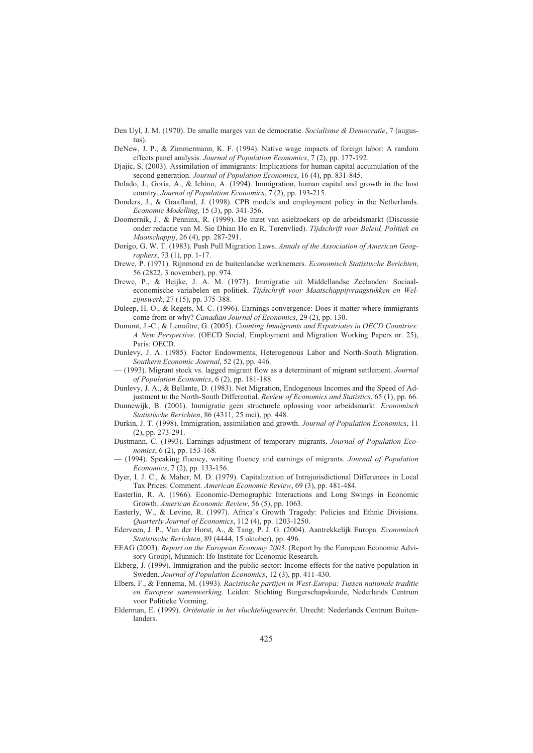- Den Uyl, J. M. (1970). De smalle marges van de democratie. *Socialisme & Democratie*, 7 (augustus).
- DeNew, J. P., & Zimmermann, K. F. (1994). Native wage impacts of foreign labor: A random effects panel analysis. *Journal of Population Economics*, 7 (2), pp. 177-192.
- Djajic, S. (2003). Assimilation of immigrants: Implications for human capital accumulation of the second generation. *Journal of Population Economics*, 16 (4), pp. 831-845.
- Dolado, J., Goria, A., & Ichino, A. (1994). Immigration, human capital and growth in the host country. *Journal of Population Economics*, 7 (2), pp. 193-215.
- Donders, J., & Graafland, J. (1998). CPB models and employment policy in the Netherlands. *Economic Modelling*, 15 (3), pp. 341-356.
- Doomernik, J., & Penninx, R. (1999). De inzet van asielzoekers op de arbeidsmarkt (Discussie onder redactie van M. Sie Dhian Ho en R. Torenvlied). *Tijdschrift voor Beleid, Politiek en Maatschappij*, 26 (4), pp. 287-291.
- Dorigo, G. W. T. (1983). Push Pull Migration Laws. *Annals of the Association of American Geographers*, 73 (1), pp. 1-17.
- Drewe, P. (1971). Rijnmond en de buitenlandse werknemers. *Economisch Statistische Berichten*, 56 (2822, 3 november), pp. 974.
- Drewe, P., & Heijke, J. A. M. (1973). Immigratie uit Middellandse Zeelanden: Sociaaleconomische variabelen en politiek. *Tijdschrift voor Maatschappijvraagstukken en Welzijnswerk*, 27 (15), pp. 375-388.
- Duleep, H. O., & Regets, M. C. (1996). Earnings convergence: Does it matter where immigrants come from or why? *Canadian Journal of Economics*, 29 (2), pp. 130.
- Dumont, J.-C., & Lemaître, G. (2005). *Counting Immigrants and Expatriates in OECD Countries: A New Perspective*. (OECD Social, Employment and Migration Working Papers nr. 25), Paris: OECD.
- Dunlevy, J. A. (1985). Factor Endowments, Heterogenous Labor and North-South Migration. *Southern Economic Journal*, 52 (2), pp. 446.
- (1993). Migrant stock vs. lagged migrant flow as a determinant of migrant settlement. *Journal of Population Economics*, 6 (2), pp. 181-188.
- Dunlevy, J. A., & Bellante, D. (1983). Net Migration, Endogenous Incomes and the Speed of Adjustment to the North-South Differential. *Review of Economics and Statistics*, 65 (1), pp. 66.
- Dunnewijk, B. (2001). Immigratie geen structurele oplossing voor arbeidsmarkt. *Economisch Statistische Berichten*, 86 (4311, 25 mei), pp. 448.
- Durkin, J. T. (1998). Immigration, assimilation and growth. *Journal of Population Economics*, 11 (2), pp. 273-291.
- Dustmann, C. (1993). Earnings adjustment of temporary migrants. *Journal of Population Economics*, 6 (2), pp. 153-168.
- (1994). Speaking fluency, writing fluency and earnings of migrants. *Journal of Population Economics*, 7 (2), pp. 133-156.
- Dyer, I. J. C., & Maher, M. D. (1979). Capitalization of Intrajurisdictional Differences in Local Tax Prices: Comment. *American Economic Review*, 69 (3), pp. 481-484.
- Easterlin, R. A. (1966). Economic-Demographic Interactions and Long Swings in Economic Growth. *American Economic Review*, 56 (5), pp. 1063.
- Easterly, W., & Levine, R. (1997). Africa's Growth Tragedy: Policies and Ethnic Divisions. *Quarterly Journal of Economics*, 112 (4), pp. 1203-1250.
- Ederveen, J. P., Van der Horst, A., & Tang, P. J. G. (2004). Aantrekkelijk Europa. *Economisch Statistische Berichten*, 89 (4444, 15 oktober), pp. 496.
- EEAG (2003). *Report on the European Economy 2003*. (Report by the European Economic Advisory Group), Munnich: Ifo Institute for Economic Research.
- Ekberg, J. (1999). Immigration and the public sector: Income effects for the native population in Sweden. *Journal of Population Economics*, 12 (3), pp. 411-430.
- Elbers, F., & Fennema, M. (1993). *Racistische partijen in West-Europa: Tussen nationale traditie en Europese samenwerking*. Leiden: Stichting Burgerschapskunde, Nederlands Centrum voor Politieke Vorming.
- Elderman, E. (1999). *Oriëntatie in het vluchtelingenrecht*. Utrecht: Nederlands Centrum Buitenlanders.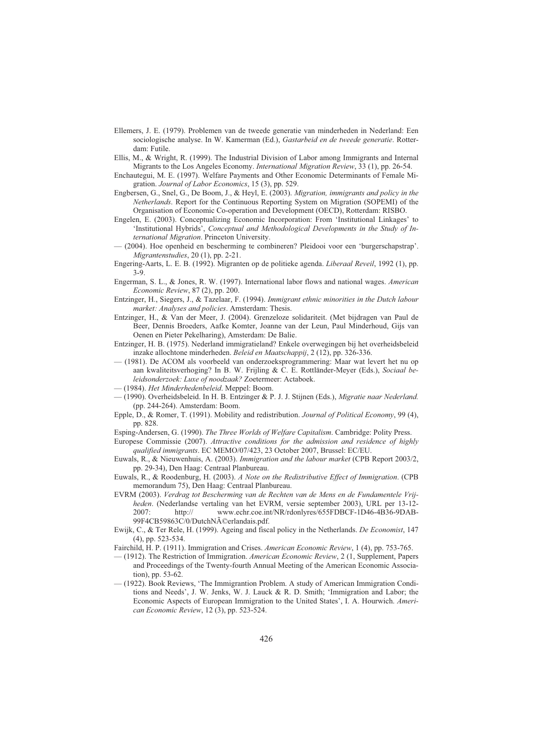- Ellemers, J. E. (1979). Problemen van de tweede generatie van minderheden in Nederland: Een sociologische analyse. In W. Kamerman (Ed.), *Gastarbeid en de tweede generatie*. Rotterdam: Futile.
- Ellis, M., & Wright, R. (1999). The Industrial Division of Labor among Immigrants and Internal Migrants to the Los Angeles Economy. *International Migration Review*, 33 (1), pp. 26-54.
- Enchautegui, M. E. (1997). Welfare Payments and Other Economic Determinants of Female Migration. *Journal of Labor Economics*, 15 (3), pp. 529.
- Engbersen, G., Snel, G., De Boom, J., & Heyl, E. (2003). *Migration, immigrants and policy in the Netherlands*. Report for the Continuous Reporting System on Migration (SOPEMI) of the Organisation of Economic Co-operation and Development (OECD), Rotterdam: RISBO.
- Engelen, E. (2003). Conceptualizing Economic Incorporation: From 'Institutional Linkages' to 'Institutional Hybrids', *Conceptual and Methodological Developments in the Study of International Migration*. Princeton University.
- (2004). Hoe openheid en bescherming te combineren? Pleidooi voor een 'burgerschapstrap'. *Migrantenstudies*, 20 (1), pp. 2-21.
- Engering-Aarts, L. E. B. (1992). Migranten op de politieke agenda. *Liberaal Reveil*, 1992 (1), pp. 3-9.
- Engerman, S. L., & Jones, R. W. (1997). International labor flows and national wages. *American Economic Review*, 87 (2), pp. 200.
- Entzinger, H., Siegers, J., & Tazelaar, F. (1994). *Immigrant ethnic minorities in the Dutch labour market: Analyses and policies*. Amsterdam: Thesis.
- Entzinger, H., & Van der Meer, J. (2004). Grenzeloze solidariteit. (Met bijdragen van Paul de Beer, Dennis Broeders, Aafke Komter, Joanne van der Leun, Paul Minderhoud, Gijs van Oenen en Pieter Pekelharing), Amsterdam: De Balie.
- Entzinger, H. B. (1975). Nederland immigratieland? Enkele overwegingen bij het overheidsbeleid inzake allochtone minderheden. *Beleid en Maatschappij*, 2 (12), pp. 326-336.
- (1981). De ACOM als voorbeeld van onderzoeksprogrammering: Maar wat levert het nu op aan kwaliteitsverhoging? In B. W. Frijling & C. E. Rottländer-Meyer (Eds.), *Sociaal beleidsonderzoek: Luxe of noodzaak?* Zoetermeer: Actaboek.
- (1984). *Het Minderhedenbeleid*. Meppel: Boom.
- (1990). Overheidsbeleid. In H. B. Entzinger & P. J. J. Stijnen (Eds.), *Migratie naar Nederland.* (pp. 244-264). Amsterdam: Boom.
- Epple, D., & Romer, T. (1991). Mobility and redistribution. *Journal of Political Economy*, 99 (4), pp. 828.
- Esping-Andersen, G. (1990). *The Three Worlds of Welfare Capitalism*. Cambridge: Polity Press.
- Europese Commissie (2007). *Attractive conditions for the admission and residence of highly qualified immigrants*. EC MEMO/07/423, 23 October 2007, Brussel: EC/EU.
- Euwals, R., & Nieuwenhuis, A. (2003). *Immigration and the labour market* (CPB Report 2003/2, pp. 29-34), Den Haag: Centraal Planbureau.
- Euwals, R., & Roodenburg, H. (2003). *A Note on the Redistributive Effect of Immigration*. (CPB memorandum 75), Den Haag: Centraal Planbureau.
- EVRM (2003). *Verdrag tot Bescherming van de Rechten van de Mens en de Fundamentele Vrijheden*. (Nederlandse vertaling van het EVRM, versie september 2003), URL per 13-12- 2007: http:// www.echr.coe.int/NR/rdonlyres/655FDBCF-1D46-4B36-9DAB-99F4CB59863C/0/DutchNéerlandais.pdf.
- Ewijk, C., & Ter Rele, H. (1999). Ageing and fiscal policy in the Netherlands. *De Economist*, 147 (4), pp. 523-534.
- Fairchild, H. P. (1911). Immigration and Crises. *American Economic Review*, 1 (4), pp. 753-765.
- (1912). The Restriction of Immigration. *American Economic Review*, 2 (1, Supplement, Papers and Proceedings of the Twenty-fourth Annual Meeting of the American Economic Association), pp. 53-62.
- (1922). Book Reviews, 'The Immigrantion Problem. A study of American Immigration Conditions and Needs', J. W. Jenks, W. J. Lauck & R. D. Smith; 'Immigration and Labor; the Economic Aspects of European Immigration to the United States', I. A. Hourwich. *American Economic Review*, 12 (3), pp. 523-524.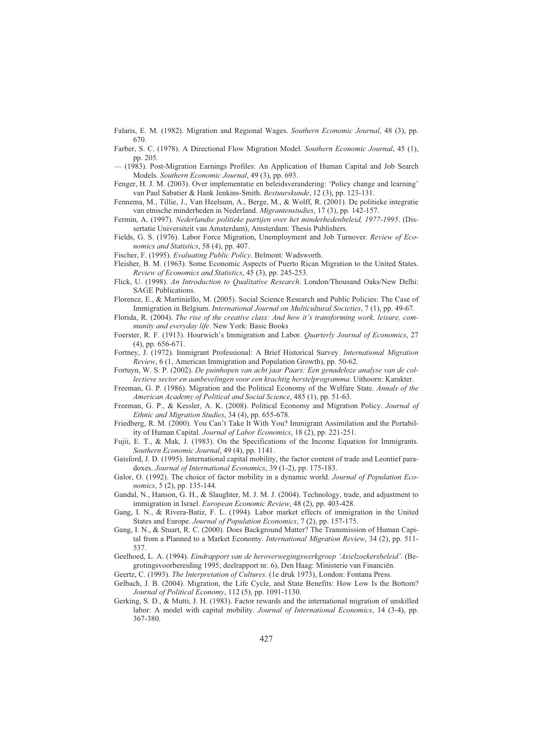- Falaris, E. M. (1982). Migration and Regional Wages. *Southern Economic Journal*, 48 (3), pp. 670.
- Farber, S. C. (1978). A Directional Flow Migration Model. *Southern Economic Journal*, 45 (1), pp. 205.
- (1983). Post-Migration Earnings Profiles: An Application of Human Capital and Job Search Models. *Southern Economic Journal*, 49 (3), pp. 693.
- Fenger, H. J. M. (2003). Over implementatie en beleidsverandering: 'Policy change and learning' van Paul Sabatier & Hank Jenkins-Smith. *Bestuurskunde*, 12 (3), pp. 123-131.
- Fennema, M., Tillie, J., Van Heelsum, A., Berge, M., & Wolff, R. (2001). De politieke integratie van etnische minderheden in Nederland. *Migrantenstudies*, 17 (3), pp. 142-157.
- Fermin, A. (1997). *Nederlandse politieke partijen over het minderhedenbeleid, 1977-1995*. (Dissertatie Universiteit van Amsterdam), Amsterdam: Thesis Publishers.
- Fields, G. S. (1976). Labor Force Migration, Unemployment and Job Turnover. *Review of Economics and Statistics*, 58 (4), pp. 407.
- Fischer, F. (1995). *Evaluating Public Policy*. Belmont: Wadsworth.
- Fleisher, B. M. (1963). Some Economic Aspects of Puerto Rican Migration to the United States. *Review of Economics and Statistics*, 45 (3), pp. 245-253.
- Flick, U. (1998). *An Introduction to Qualitative Research*. London/Thousand Oaks/New Delhi: SAGE Publications.
- Florence, E., & Martiniello, M. (2005). Social Science Research and Public Policies: The Case of Immigration in Belgium. *International Journal on Multicultural Societies*, 7 (1), pp. 49-67.
- Florida, R. (2004). *The rise of the creative class: And how it's transforming work, leisure, community and everyday life*. New York: Basic Books
- Foerster, R. F. (1913). Hourwich's Immigration and Labor. *Quarterly Journal of Economics*, 27 (4), pp. 656-671.
- Fortney, J. (1972). Immigrant Professional: A Brief Historical Survey. *International Migration Review*, 6 (1, American Immigration and Population Growth), pp. 50-62.
- Fortuyn, W. S. P. (2002). *De puinhopen van acht jaar Paars: Een genadeloze analyse van de collectieve sector en aanbevelingen voor een krachtig herstelprogramma*. Uithoorn: Karakter.
- Freeman, G. P. (1986). Migration and the Political Economy of the Welfare State. *Annals of the American Academy of Political and Social Science*, 485 (1), pp. 51-63.
- Freeman, G. P., & Kessler, A. K. (2008). Political Economy and Migration Policy. *Journal of Ethnic and Migration Studies*, 34 (4), pp. 655-678.
- Friedberg, R. M. (2000). You Can't Take It With You? Immigrant Assimilation and the Portability of Human Capital. *Journal of Labor Economics*, 18 (2), pp. 221-251.
- Fujii, E. T., & Mak, J. (1983). On the Specifications of the Income Equation for Immigrants. *Southern Economic Journal*, 49 (4), pp. 1141.
- Gaisford, J. D. (1995). International capital mobility, the factor content of trade and Leontief paradoxes. *Journal of International Economics*, 39 (1-2), pp. 175-183.
- Galor, O. (1992). The choice of factor mobility in a dynamic world. *Journal of Population Economics*, 5 (2), pp. 135-144.
- Gandal, N., Hanson, G. H., & Slaughter, M. J. M. J. (2004). Technology, trade, and adjustment to immigration in Israel. *European Economic Review*, 48 (2), pp. 403-428.
- Gang, I. N., & Rivera-Batiz, F. L. (1994). Labor market effects of immigration in the United States and Europe. *Journal of Population Economics*, 7 (2), pp. 157-175.
- Gang, I. N., & Stuart, R. C. (2000). Does Background Matter? The Transmission of Human Capital from a Planned to a Market Economy. *International Migration Review*, 34 (2), pp. 511- 537.
- Geelhoed, L. A. (1994). *Eindrapport van de heroverwegingswerkgroep 'Asielzoekersbeleid'*. (Begrotingsvoorbereiding 1995; deelrapport nr. 6), Den Haag: Ministerie van Financiën.
- Geertz, C. (1993). *The Interpretation of Cultures*. (1e druk 1973), London: Fontana Press.
- Gelbach, J. B. (2004). Migration, the Life Cycle, and State Benefits: How Low Is the Bottom? *Journal of Political Economy*, 112 (5), pp. 1091-1130.
- Gerking, S. D., & Mutti, J. H. (1983). Factor rewards and the international migration of unskilled labor: A model with capital mobility. *Journal of International Economics*, 14 (3-4), pp. 367-380.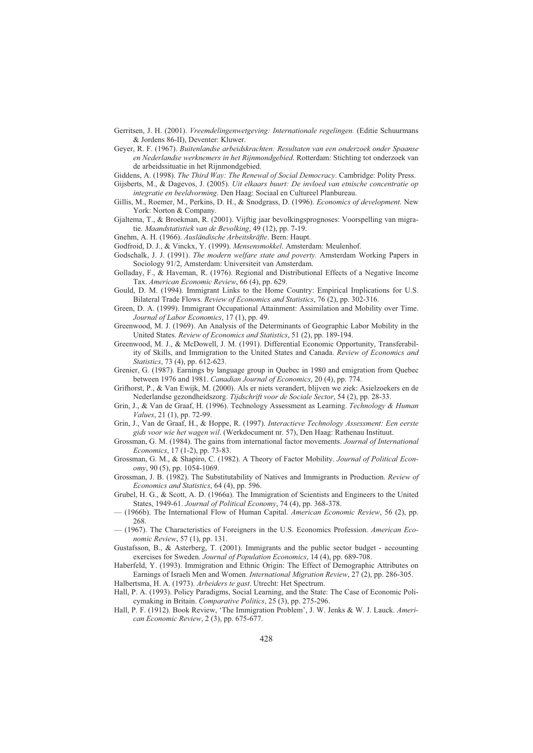Gerritsen, J. H. (2001). *Vreemdelingenwetgeving: Internationale regelingen.* (Editie Schuurmans & Jordens 86-II), Deventer: Kluwer.

Geyer, R. F. (1967). *Buitenlandse arbeidskrachten: Resultaten van een onderzoek onder Spaanse en Nederlandse werknemers in het Rijnmondgebied*. Rotterdam: Stichting tot onderzoek van de arbeidssituatie in het Rijnmondgebied.

Giddens, A. (1998). *The Third Way: The Renewal of Social Democracy*. Cambridge: Polity Press.

- Gijsberts, M., & Dagevos, J. (2005). *Uit elkaars buurt: De invloed van etnische concentratie op integratie en beeldvorming*. Den Haag: Sociaal en Cultureel Planbureau.
- Gillis, M., Roemer, M., Perkins, D. H., & Snodgrass, D. (1996). *Economics of development*. New York: Norton & Company.
- Gjaltema, T., & Broekman, R. (2001). Vijftig jaar bevolkingsprognoses: Voorspelling van migratie. *Maandstatistiek van de Bevolking*, 49 (12), pp. 7-19.
- Gnehm, A. H. (1966). *Ausländische Arbeitskräfte*. Bern: Haupt.
- Godfroid, D. J., & Vinckx, Y. (1999). *Mensensmokkel*. Amsterdam: Meulenhof.
- Godschalk, J. J. (1991). *The modern welfare state and poverty.* Amsterdam Working Papers in Sociology 91/2, Amsterdam: Universiteit van Amsterdam.
- Golladay, F., & Haveman, R. (1976). Regional and Distributional Effects of a Negative Income Tax. *American Economic Review*, 66 (4), pp. 629.
- Gould, D. M. (1994). Immigrant Links to the Home Country: Empirical Implications for U.S. Bilateral Trade Flows. *Review of Economics and Statistics*, 76 (2), pp. 302-316.
- Green, D. A. (1999). Immigrant Occupational Attainment: Assimilation and Mobility over Time. *Journal of Labor Economics*, 17 (1), pp. 49.
- Greenwood, M. J. (1969). An Analysis of the Determinants of Geographic Labor Mobility in the United States. *Review of Economics and Statistics*, 51 (2), pp. 189-194.
- Greenwood, M. J., & McDowell, J. M. (1991). Differential Economic Opportunity, Transferability of Skills, and Immigration to the United States and Canada. *Review of Economics and Statistics*, 73 (4), pp. 612-623.
- Grenier, G. (1987). Earnings by language group in Quebec in 1980 and emigration from Quebec between 1976 and 1981. *Canadian Journal of Economics*, 20 (4), pp. 774.
- Grifhorst, P., & Van Ewijk, M. (2000). Als er niets verandert, blijven we ziek: Asielzoekers en de Nederlandse gezondheidszorg. *Tijdschrift voor de Sociale Sector*, 54 (2), pp. 28-33.
- Grin, J., & Van de Graaf, H. (1996). Technology Assessment as Learning. *Technology & Human Values*, 21 (1), pp. 72-99.
- Grin, J., Van de Graaf, H., & Hoppe, R. (1997). *Interactieve Technology Assessment: Een eerste gids voor wie het wagen wil*. (Werkdocument nr. 57), Den Haag: Rathenau Instituut.
- Grossman, G. M. (1984). The gains from international factor movements. *Journal of International Economics*, 17 (1-2), pp. 73-83.
- Grossman, G. M., & Shapiro, C. (1982). A Theory of Factor Mobility. *Journal of Political Economy*, 90 (5), pp. 1054-1069.
- Grossman, J. B. (1982). The Substitutability of Natives and Immigrants in Production. *Review of Economics and Statistics*, 64 (4), pp. 596.
- Grubel, H. G., & Scott, A. D. (1966a). The Immigration of Scientists and Engineers to the United States, 1949-61. *Journal of Political Economy*, 74 (4), pp. 368-378.
- (1966b). The International Flow of Human Capital. *American Economic Review*, 56 (2), pp. 268.
- (1967). The Characteristics of Foreigners in the U.S. Economics Profession. *American Economic Review*, 57 (1), pp. 131.
- Gustafsson, B., & Asterberg, T. (2001). Immigrants and the public sector budget accounting exercises for Sweden. *Journal of Population Economics*, 14 (4), pp. 689-708.
- Haberfeld, Y. (1993). Immigration and Ethnic Origin: The Effect of Demographic Attributes on Earnings of Israeli Men and Women. *International Migration Review*, 27 (2), pp. 286-305.
- Halbertsma, H. A. (1973). *Arbeiders te gast*. Utrecht: Het Spectrum.
- Hall, P. A. (1993). Policy Paradigms, Social Learning, and the State: The Case of Economic Policymaking in Britain. *Comparative Politics*, 25 (3), pp. 275-296.
- Hall, P. F. (1912). Book Review, 'The Immigration Problem', J. W. Jenks & W. J. Lauck. *American Economic Review*, 2 (3), pp. 675-677.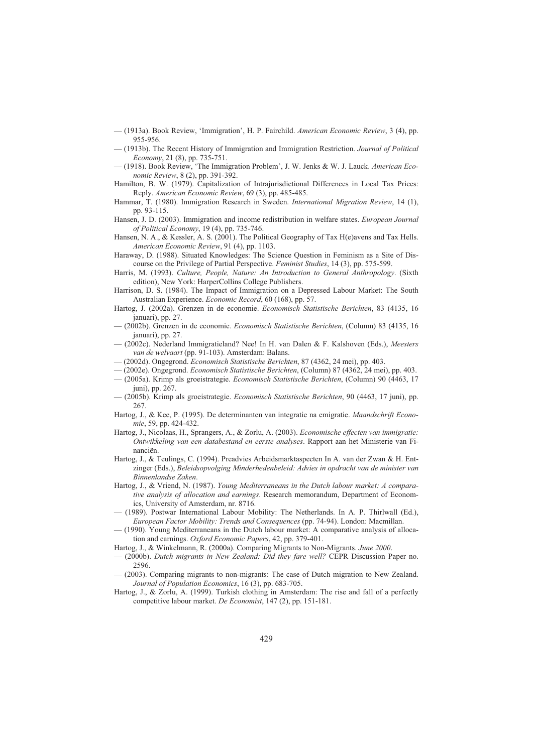- (1913a). Book Review, 'Immigration', H. P. Fairchild. *American Economic Review*, 3 (4), pp. 955-956.
- (1913b). The Recent History of Immigration and Immigration Restriction. *Journal of Political Economy*, 21 (8), pp. 735-751.
- (1918). Book Review, 'The Immigration Problem', J. W. Jenks & W. J. Lauck. *American Economic Review*, 8 (2), pp. 391-392.
- Hamilton, B. W. (1979). Capitalization of Intrajurisdictional Differences in Local Tax Prices: Reply. *American Economic Review*, 69 (3), pp. 485-485.
- Hammar, T. (1980). Immigration Research in Sweden. *International Migration Review*, 14 (1), pp. 93-115.
- Hansen, J. D. (2003). Immigration and income redistribution in welfare states. *European Journal of Political Economy*, 19 (4), pp. 735-746.
- Hansen, N. A., & Kessler, A. S. (2001). The Political Geography of Tax H(e)avens and Tax Hells. *American Economic Review*, 91 (4), pp. 1103.
- Haraway, D. (1988). Situated Knowledges: The Science Question in Feminism as a Site of Discourse on the Privilege of Partial Perspective. *Feminist Studies*, 14 (3), pp. 575-599.
- Harris, M. (1993). *Culture, People, Nature: An Introduction to General Anthropology*. (Sixth edition), New York: HarperCollins College Publishers.
- Harrison, D. S. (1984). The Impact of Immigration on a Depressed Labour Market: The South Australian Experience. *Economic Record*, 60 (168), pp. 57.
- Hartog, J. (2002a). Grenzen in de economie. *Economisch Statistische Berichten*, 83 (4135, 16 januari), pp. 27.
- (2002b). Grenzen in de economie. *Economisch Statistische Berichten*, (Column) 83 (4135, 16 januari), pp. 27.
- (2002c). Nederland Immigratieland? Nee! In H. van Dalen & F. Kalshoven (Eds.), *Meesters van de welvaart* (pp. 91-103). Amsterdam: Balans.
- (2002d). Ongegrond. *Economisch Statistische Berichten*, 87 (4362, 24 mei), pp. 403.
- (2002e). Ongegrond. *Economisch Statistische Berichten*, (Column) 87 (4362, 24 mei), pp. 403.
- (2005a). Krimp als groeistrategie. *Economisch Statistische Berichten*, (Column) 90 (4463, 17 juni), pp. 267.
- (2005b). Krimp als groeistrategie. *Economisch Statistische Berichten*, 90 (4463, 17 juni), pp. 267.
- Hartog, J., & Kee, P. (1995). De determinanten van integratie na emigratie. *Maandschrift Economie*, 59, pp. 424-432.
- Hartog, J., Nicolaas, H., Sprangers, A., & Zorlu, A. (2003). *Economische effecten van immigratie: Ontwikkeling van een databestand en eerste analyses*. Rapport aan het Ministerie van Financiën.
- Hartog, J., & Teulings, C. (1994). Preadvies Arbeidsmarktaspecten In A. van der Zwan & H. Entzinger (Eds.), *Beleidsopvolging Minderhedenbeleid: Advies in opdracht van de minister van Binnenlandse Zaken*.
- Hartog, J., & Vriend, N. (1987). *Young Mediterraneans in the Dutch labour market: A comparative analysis of allocation and earnings*. Research memorandum, Department of Economics, University of Amsterdam, nr. 8716.
- (1989). Postwar International Labour Mobility: The Netherlands. In A. P. Thirlwall (Ed.), *European Factor Mobility: Trends and Consequences* (pp. 74-94). London: Macmillan.
- (1990). Young Mediterraneans in the Dutch labour market: A comparative analysis of allocation and earnings. *Oxford Economic Papers*, 42, pp. 379-401.
- Hartog, J., & Winkelmann, R. (2000a). Comparing Migrants to Non-Migrants. *June 2000*.
- (2000b). *Dutch migrants in New Zealand: Did they fare well?* CEPR Discussion Paper no. 2596.
- (2003). Comparing migrants to non-migrants: The case of Dutch migration to New Zealand. *Journal of Population Economics*, 16 (3), pp. 683-705.
- Hartog, J., & Zorlu, A. (1999). Turkish clothing in Amsterdam: The rise and fall of a perfectly competitive labour market. *De Economist*, 147 (2), pp. 151-181.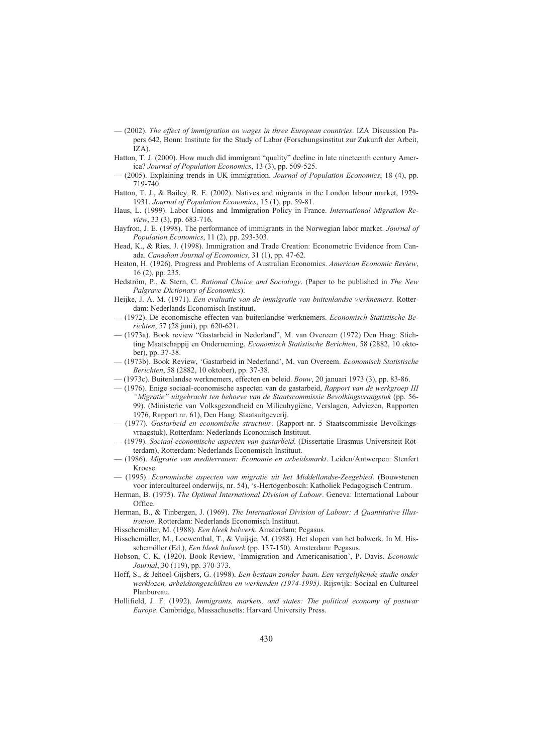- (2002). *The effect of immigration on wages in three European countries*. IZA Discussion Papers 642, Bonn: Institute for the Study of Labor (Forschungsinstitut zur Zukunft der Arbeit, IZA).
- Hatton, T. J. (2000). How much did immigrant "quality" decline in late nineteenth century America? *Journal of Population Economics*, 13 (3), pp. 509-525.
- (2005). Explaining trends in UK immigration. *Journal of Population Economics*, 18 (4), pp. 719-740.
- Hatton, T. J., & Bailey, R. E. (2002). Natives and migrants in the London labour market, 1929- 1931. *Journal of Population Economics*, 15 (1), pp. 59-81.
- Haus, L. (1999). Labor Unions and Immigration Policy in France. *International Migration Review*, 33 (3), pp. 683-716.
- Hayfron, J. E. (1998). The performance of immigrants in the Norwegian labor market. *Journal of Population Economics*, 11 (2), pp. 293-303.
- Head, K., & Ries, J. (1998). Immigration and Trade Creation: Econometric Evidence from Canada. *Canadian Journal of Economics*, 31 (1), pp. 47-62.
- Heaton, H. (1926). Progress and Problems of Australian Economics. *American Economic Review*, 16 (2), pp. 235.
- Hedström, P., & Stern, C. *Rational Choice and Sociology*. (Paper to be published in *The New Palgrave Dictionary of Economics*).
- Heijke, J. A. M. (1971). *Een evaluatie van de immigratie van buitenlandse werknemers*. Rotterdam: Nederlands Economisch Instituut.
- (1972). De economische effecten van buitenlandse werknemers. *Economisch Statistische Berichten*, 57 (28 juni), pp. 620-621.
- (1973a). Book review "Gastarbeid in Nederland", M. van Overeem (1972) Den Haag: Stichting Maatschappij en Onderneming. *Economisch Statistische Berichten*, 58 (2882, 10 oktober), pp. 37-38.
- (1973b). Book Review, 'Gastarbeid in Nederland', M. van Overeem. *Economisch Statistische Berichten*, 58 (2882, 10 oktober), pp. 37-38.
- (1973c). Buitenlandse werknemers, effecten en beleid. *Bouw*, 20 januari 1973 (3), pp. 83-86.
- (1976). Enige sociaal-economische aspecten van de gastarbeid, *Rapport van de werkgroep III "Migratie" uitgebracht ten behoeve van de Staatscommissie Bevolkingsvraagstuk* (pp. 56- 99). (Ministerie van Volksgezondheid en Milieuhygiëne, Verslagen, Adviezen, Rapporten 1976, Rapport nr. 61), Den Haag: Staatsuitgeverij.
- (1977). *Gastarbeid en economische structuur*. (Rapport nr. 5 Staatscommissie Bevolkingsvraagstuk), Rotterdam: Nederlands Economisch Instituut.
- (1979). *Sociaal-economische aspecten van gastarbeid*. (Dissertatie Erasmus Universiteit Rotterdam), Rotterdam: Nederlands Economisch Instituut.
- (1986). *Migratie van mediterranen: Economie en arbeidsmarkt*. Leiden/Antwerpen: Stenfert Kroese.
- (1995). *Economische aspecten van migratie uit het Middellandse-Zeegebied*. (Bouwstenen voor intercultureel onderwijs, nr. 54), 's-Hertogenbosch: Katholiek Pedagogisch Centrum.
- Herman, B. (1975). *The Optimal International Division of Labour*. Geneva: International Labour Office.
- Herman, B., & Tinbergen, J. (1969). *The International Division of Labour: A Quantitative Illustration*. Rotterdam: Nederlands Economisch Instituut.
- Hisschemöller, M. (1988). *Een bleek bolwerk*. Amsterdam: Pegasus.
- Hisschemöller, M., Loewenthal, T., & Vuijsje, M. (1988). Het slopen van het bolwerk. In M. Hisschemöller (Ed.), *Een bleek bolwerk* (pp. 137-150). Amsterdam: Pegasus.
- Hobson, C. K. (1920). Book Review, 'Immigration and Americanisation', P. Davis. *Economic Journal*, 30 (119), pp. 370-373.
- Hoff, S., & Jehoel-Gijsbers, G. (1998). *Een bestaan zonder baan. Een vergelijkende studie onder werklozen, arbeidsongeschikten en werkenden (1974-1995)*. Rijswijk: Sociaal en Cultureel Planbureau.
- Hollifield, J. F. (1992). *Immigrants, markets, and states: The political economy of postwar Europe*. Cambridge, Massachusetts: Harvard University Press.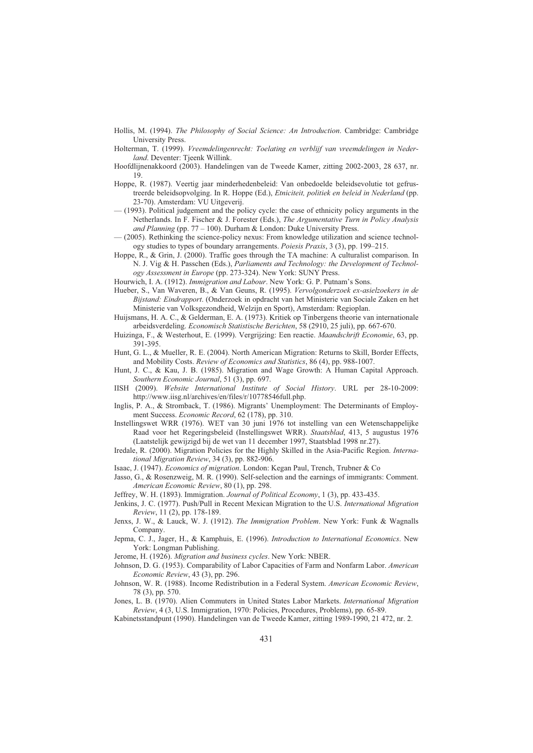- Hollis, M. (1994). *The Philosophy of Social Science: An Introduction*. Cambridge: Cambridge University Press.
- Holterman, T. (1999). *Vreemdelingenrecht: Toelating en verblijf van vreemdelingen in Nederland*. Deventer: Tjeenk Willink.
- Hoofdlijnenakkoord (2003). Handelingen van de Tweede Kamer, zitting 2002-2003, 28 637, nr. 19.
- Hoppe, R. (1987). Veertig jaar minderhedenbeleid: Van onbedoelde beleidsevolutie tot gefrustreerde beleidsopvolging. In R. Hoppe (Ed.), *Etniciteit, politiek en beleid in Nederland* (pp. 23-70). Amsterdam: VU Uitgeverij.
- (1993). Political judgement and the policy cycle: the case of ethnicity policy arguments in the Netherlands. In F. Fischer & J. Forester (Eds.), *The Argumentative Turn in Policy Analysis and Planning* (pp. 77 – 100). Durham & London: Duke University Press.
- (2005). Rethinking the science-policy nexus: From knowledge utilization and science technology studies to types of boundary arrangements. *Poiesis Praxis*, 3 (3), pp. 199–215.
- Hoppe, R., & Grin, J. (2000). Traffic goes through the TA machine: A culturalist comparison. In N. J. Vig & H. Passchen (Eds.), *Parliaments and Technology: the Development of Technology Assessment in Europe* (pp. 273-324). New York: SUNY Press.
- Hourwich, I. A. (1912). *Immigration and Labour*. New York: G. P. Putnam's Sons.
- Hueber, S., Van Waveren, B., & Van Geuns, R. (1995). *Vervolgonderzoek ex-asielzoekers in de Bijstand: Eindrapport*. (Onderzoek in opdracht van het Ministerie van Sociale Zaken en het Ministerie van Volksgezondheid, Welzijn en Sport), Amsterdam: Regioplan.
- Huijsmans, H. A. C., & Gelderman, E. A. (1973). Kritiek op Tinbergens theorie van internationale arbeidsverdeling. *Economisch Statistische Berichten*, 58 (2910, 25 juli), pp. 667-670.
- Huizinga, F., & Westerhout, E. (1999). Vergrijzing: Een reactie. *Maandschrift Economie*, 63, pp. 391-395.
- Hunt, G. L., & Mueller, R. E. (2004). North American Migration: Returns to Skill, Border Effects, and Mobility Costs. *Review of Economics and Statistics*, 86 (4), pp. 988-1007.
- Hunt, J. C., & Kau, J. B. (1985). Migration and Wage Growth: A Human Capital Approach. *Southern Economic Journal*, 51 (3), pp. 697.
- IISH (2009). *Website International Institute of Social History*. URL per 28-10-2009: http://www.iisg.nl/archives/en/files/r/10778546full.php.
- Inglis, P. A., & Stromback, T. (1986). Migrants' Unemployment: The Determinants of Employment Success. *Economic Record*, 62 (178), pp. 310.
- Instellingswet WRR (1976). WET van 30 juni 1976 tot instelling van een Wetenschappelijke Raad voor het Regeringsbeleid (Instellingswet WRR). *Staatsblad*, 413, 5 augustus 1976 (Laatstelijk gewijzigd bij de wet van 11 december 1997, Staatsblad 1998 nr.27).
- Iredale, R. (2000). Migration Policies for the Highly Skilled in the Asia-Pacific Region. *International Migration Review*, 34 (3), pp. 882-906.
- Isaac, J. (1947). *Economics of migration*. London: Kegan Paul, Trench, Trubner & Co
- Jasso, G., & Rosenzweig, M. R. (1990). Self-selection and the earnings of immigrants: Comment. *American Economic Review*, 80 (1), pp. 298.
- Jeffrey, W. H. (1893). Immigration. *Journal of Political Economy*, 1 (3), pp. 433-435.
- Jenkins, J. C. (1977). Push/Pull in Recent Mexican Migration to the U.S. *International Migration Review*, 11 (2), pp. 178-189.
- Jenxs, J. W., & Lauck, W. J. (1912). *The Immigration Problem*. New York: Funk & Wagnalls Company.
- Jepma, C. J., Jager, H., & Kamphuis, E. (1996). *Introduction to International Economics*. New York: Longman Publishing.
- Jerome, H. (1926). *Migration and business cycles*. New York: NBER.
- Johnson, D. G. (1953). Comparability of Labor Capacities of Farm and Nonfarm Labor. *American Economic Review*, 43 (3), pp. 296.
- Johnson, W. R. (1988). Income Redistribution in a Federal System. *American Economic Review*, 78 (3), pp. 570.
- Jones, L. B. (1970). Alien Commuters in United States Labor Markets. *International Migration Review*, 4 (3, U.S. Immigration, 1970: Policies, Procedures, Problems), pp. 65-89.
- Kabinetsstandpunt (1990). Handelingen van de Tweede Kamer, zitting 1989-1990, 21 472, nr. 2.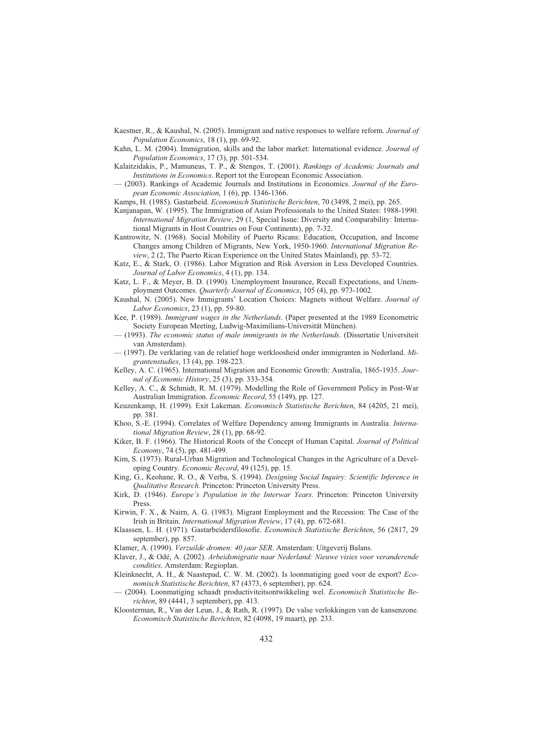- Kaestner, R., & Kaushal, N. (2005). Immigrant and native responses to welfare reform. *Journal of Population Economics*, 18 (1), pp. 69-92.
- Kahn, L. M. (2004). Immigration, skills and the labor market: International evidence. *Journal of Population Economics*, 17 (3), pp. 501-534.
- Kalaitzidakis, P., Mamuneas, T. P., & Stengos, T. (2001). *Rankings of Academic Journals and Institutions in Economics*. Report tot the European Economic Association.
- (2003). Rankings of Academic Journals and Institutions in Economics. *Journal of the European Economic Association*, 1 (6), pp. 1346-1366.
- Kamps, H. (1985). Gastarbeid. *Economisch Statistische Berichten*, 70 (3498, 2 mei), pp. 265.
- Kanjanapan, W. (1995). The Immigration of Asian Professionals to the United States: 1988-1990. *International Migration Review*, 29 (1, Special Issue: Diversity and Comparability: International Migrants in Host Countries on Four Continents), pp. 7-32.
- Kantrowitz, N. (1968). Social Mobility of Puerto Ricans: Education, Occupation, and Income Changes among Children of Migrants, New York, 1950-1960. *International Migration Review*, 2 (2, The Puerto Rican Experience on the United States Mainland), pp. 53-72.
- Katz, E., & Stark, O. (1986). Labor Migration and Risk Aversion in Less Developed Countries. *Journal of Labor Economics*, 4 (1), pp. 134.
- Katz, L. F., & Meyer, B. D. (1990). Unemployment Insurance, Recall Expectations, and Unemployment Outcomes. *Quarterly Journal of Economics*, 105 (4), pp. 973-1002.
- Kaushal, N. (2005). New Immigrants' Location Choices: Magnets without Welfare. *Journal of Labor Economics*, 23 (1), pp. 59-80.
- Kee, P. (1989). *Immigrant wages in the Netherlands*. (Paper presented at the 1989 Econometric Society European Meeting, Ludwig-Maximilians-Universität München).
- (1993). *The economic status of male immigrants in the Netherlands*. (Dissertatie Universiteit van Amsterdam).
- (1997). De verklaring van de relatief hoge werkloosheid onder immigranten in Nederland. *Migrantenstudies*, 13 (4), pp. 198-223.
- Kelley, A. C. (1965). International Migration and Economic Growth: Australia, 1865-1935. *Journal of Economic History*, 25 (3), pp. 333-354.
- Kelley, A. C., & Schmidt, R. M. (1979). Modelling the Role of Government Policy in Post-War Australian Immigration. *Economic Record*, 55 (149), pp. 127.
- Keuzenkamp, H. (1999). Exit Lakeman. *Economisch Statistische Berichten*, 84 (4205, 21 mei), pp. 381.
- Khoo, S.-E. (1994). Correlates of Welfare Dependency among Immigrants in Australia. *International Migration Review*, 28 (1), pp. 68-92.
- Kiker, B. F. (1966). The Historical Roots of the Concept of Human Capital. *Journal of Political Economy*, 74 (5), pp. 481-499.
- Kim, S. (1973). Rural-Urban Migration and Technological Changes in the Agriculture of a Developing Country. *Economic Record*, 49 (125), pp. 15.
- King, G., Keohane, R. O., & Verba, S. (1994). *Designing Social Inquiry: Scientific Inference in Qualitative Research*. Princeton: Princeton University Press.
- Kirk, D. (1946). *Europe's Population in the Interwar Years*. Princeton: Princeton University Press.
- Kirwin, F. X., & Nairn, A. G. (1983). Migrant Employment and the Recession: The Case of the Irish in Britain. *International Migration Review*, 17 (4), pp. 672-681.
- Klaassen, L. H. (1971). Gastarbeidersfilosofie. *Economisch Statistische Berichten*, 56 (2817, 29 september), pp. 857.
- Klamer, A. (1990). *Verzuilde dromen: 40 jaar SER*. Amsterdam: Uitgeverij Balans.
- Klaver, J., & Odé, A. (2002). *Arbeidsmigratie naar Nederland: Nieuwe visies voor veranderende condities*. Amsterdam: Regioplan.
- Kleinknecht, A. H., & Naastepad, C. W. M. (2002). Is loonmatiging goed voor de export? *Economisch Statistische Berichten*, 87 (4373, 6 september), pp. 624.
- (2004). Loonmatiging schaadt productiviteitsontwikkeling wel. *Economisch Statistische Berichten*, 89 (4441, 3 september), pp. 413.
- Kloosterman, R., Van der Leun, J., & Rath, R. (1997). De valse verlokkingen van de kansenzone. *Economisch Statistische Berichten*, 82 (4098, 19 maart), pp. 233.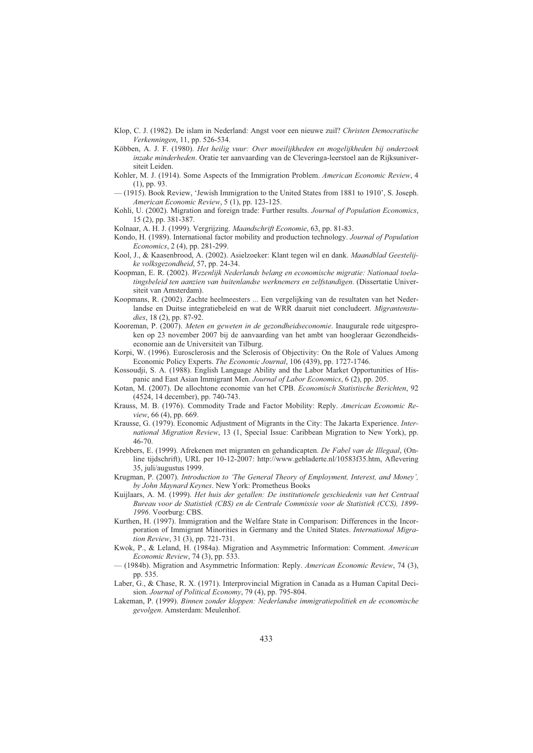- Klop, C. J. (1982). De islam in Nederland: Angst voor een nieuwe zuil? *Christen Democratische Verkenningen*, 11, pp. 526-534.
- Köbben, A. J. F. (1980). *Het heilig vuur: Over moeilijkheden en mogelijkheden bij onderzoek inzake minderheden*. Oratie ter aanvaarding van de Cleveringa-leerstoel aan de Rijksuniversiteit Leiden.
- Kohler, M. J. (1914). Some Aspects of the Immigration Problem. *American Economic Review*, 4 (1), pp. 93.
- (1915). Book Review, 'Jewish Immigration to the United States from 1881 to 1910', S. Joseph. *American Economic Review*, 5 (1), pp. 123-125.
- Kohli, U. (2002). Migration and foreign trade: Further results. *Journal of Population Economics*, 15 (2), pp. 381-387.
- Kolnaar, A. H. J. (1999). Vergrijzing. *Maandschrift Economie*, 63, pp. 81-83.
- Kondo, H. (1989). International factor mobility and production technology. *Journal of Population Economics*, 2 (4), pp. 281-299.
- Kool, J., & Kaasenbrood, A. (2002). Asielzoeker: Klant tegen wil en dank. *Maandblad Geestelijke volksgezondheid*, 57, pp. 24-34.
- Koopman, E. R. (2002). *Wezenlijk Nederlands belang en economische migratie: Nationaal toelatingsbeleid ten aanzien van buitenlandse werknemers en zelfstandigen*. (Dissertatie Universiteit van Amsterdam).
- Koopmans, R. (2002). Zachte heelmeesters ... Een vergelijking van de resultaten van het Nederlandse en Duitse integratiebeleid en wat de WRR daaruit niet concludeert. *Migrantenstudies*, 18 (2), pp. 87-92.
- Kooreman, P. (2007). *Meten en geweten in de gezondheidseconomie*. Inaugurale rede uitgesproken op 23 november 2007 bij de aanvaarding van het ambt van hoogleraar Gezondheidseconomie aan de Universiteit van Tilburg.
- Korpi, W. (1996). Eurosclerosis and the Sclerosis of Objectivity: On the Role of Values Among Economic Policy Experts. *The Economic Journal*, 106 (439), pp. 1727-1746.
- Kossoudji, S. A. (1988). English Language Ability and the Labor Market Opportunities of Hispanic and East Asian Immigrant Men. *Journal of Labor Economics*, 6 (2), pp. 205.
- Kotan, M. (2007). De allochtone economie van het CPB. *Economisch Statistische Berichten*, 92 (4524, 14 december), pp. 740-743.
- Krauss, M. B. (1976). Commodity Trade and Factor Mobility: Reply. *American Economic Review*, 66 (4), pp. 669.
- Krausse, G. (1979). Economic Adjustment of Migrants in the City: The Jakarta Experience. *International Migration Review*, 13 (1, Special Issue: Caribbean Migration to New York), pp. 46-70.
- Krebbers, E. (1999). Afrekenen met migranten en gehandicapten. *De Fabel van de Illegaal*, (Online tijdschrift), URL per 10-12-2007: http://www.gebladerte.nl/10583f35.htm, Aflevering 35, juli/augustus 1999.
- Krugman, P. (2007). *Introduction to 'The General Theory of Employment, Interest, and Money', by John Maynard Keynes*. New York: Prometheus Books
- Kuijlaars, A. M. (1999). *Het huis der getallen: De institutionele geschiedenis van het Centraal Bureau voor de Statistiek (CBS) en de Centrale Commissie voor de Statistiek (CCS), 1899- 1996*. Voorburg: CBS.
- Kurthen, H. (1997). Immigration and the Welfare State in Comparison: Differences in the Incorporation of Immigrant Minorities in Germany and the United States. *International Migration Review*, 31 (3), pp. 721-731.
- Kwok, P., & Leland, H. (1984a). Migration and Asymmetric Information: Comment. *American Economic Review*, 74 (3), pp. 533.
- (1984b). Migration and Asymmetric Information: Reply. *American Economic Review*, 74 (3), pp. 535.
- Laber, G., & Chase, R. X. (1971). Interprovincial Migration in Canada as a Human Capital Decision. *Journal of Political Economy*, 79 (4), pp. 795-804.
- Lakeman, P. (1999). *Binnen zonder kloppen: Nederlandse immigratiepolitiek en de economische gevolgen*. Amsterdam: Meulenhof.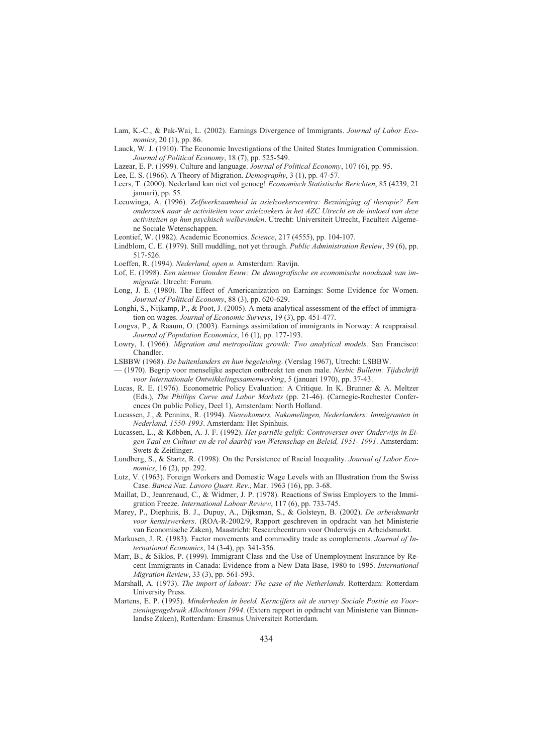- Lam, K.-C., & Pak-Wai, L. (2002). Earnings Divergence of Immigrants. *Journal of Labor Economics*, 20 (1), pp. 86.
- Lauck, W. J. (1910). The Economic Investigations of the United States Immigration Commission. *Journal of Political Economy*, 18 (7), pp. 525-549.
- Lazear, E. P. (1999). Culture and language. *Journal of Political Economy*, 107 (6), pp. 95.
- Lee, E. S. (1966). A Theory of Migration. *Demography*, 3 (1), pp. 47-57.
- Leers, T. (2000). Nederland kan niet vol genoeg! *Economisch Statistische Berichten*, 85 (4239, 21 januari), pp. 55.
- Leeuwinga, A. (1996). *Zelfwerkzaamheid in asielzoekerscentra: Bezuiniging of therapie? Een onderzoek naar de activiteiten voor asielzoekers in het AZC Utrecht en de invloed van deze activiteiten op hun psychisch welbevinden*. Utrecht: Universiteit Utrecht, Faculteit Algemene Sociale Wetenschappen.
- Leontief, W. (1982). Academic Economics. *Science*, 217 (4555), pp. 104-107.
- Lindblom, C. E. (1979). Still muddling, not yet through. *Public Administration Review*, 39 (6), pp. 517-526.
- Loeffen, R. (1994). *Nederland, open u.* Amsterdam: Ravijn.
- Lof, E. (1998). *Een nieuwe Gouden Eeuw: De demografische en economische noodzaak van immigratie*. Utrecht: Forum.
- Long, J. E. (1980). The Effect of Americanization on Earnings: Some Evidence for Women. *Journal of Political Economy*, 88 (3), pp. 620-629.
- Longhi, S., Nijkamp, P., & Poot, J. (2005). A meta-analytical assessment of the effect of immigration on wages. *Journal of Economic Surveys*, 19 (3), pp. 451-477.
- Longva, P., & Raaum, O. (2003). Earnings assimilation of immigrants in Norway: A reappraisal. *Journal of Population Economics*, 16 (1), pp. 177-193.
- Lowry, I. (1966). *Migration and metropolitan growth: Two analytical models*. San Francisco: Chandler.
- LSBBW (1968). *De buitenlanders en hun begeleiding*. (Verslag 1967), Utrecht: LSBBW.
- (1970). Begrip voor menselijke aspecten ontbreekt ten enen male. *Nesbic Bulletin: Tijdschrift voor Internationale Ontwikkelingssamenwerking*, 5 (januari 1970), pp. 37-43.
- Lucas, R. E. (1976). Econometric Policy Evaluation: A Critique. In K. Brunner & A. Meltzer (Eds.), *The Phillips Curve and Labor Markets* (pp. 21-46). (Carnegie-Rochester Conferences On public Policy, Deel 1), Amsterdam: North Holland.
- Lucassen, J., & Penninx, R. (1994). *Nieuwkomers, Nakomelingen, Nederlanders: Immigranten in Nederland, 1550-1993*. Amsterdam: Het Spinhuis.
- Lucassen, L., & Köbben, A. J. F. (1992). *Het partiële gelijk: Controverses over Onderwijs in Eigen Taal en Cultuur en de rol daarbij van Wetenschap en Beleid, 1951- 1991*. Amsterdam: Swets & Zeitlinger.
- Lundberg, S., & Startz, R. (1998). On the Persistence of Racial Inequality. *Journal of Labor Economics*, 16 (2), pp. 292.
- Lutz, V. (1963). Foreign Workers and Domestic Wage Levels with an Illustration from the Swiss Case. *Banca Naz. Lavoro Quart. Rev.*, Mar. 1963 (16), pp. 3-68.
- Maillat, D., Jeanrenaud, C., & Widmer, J. P. (1978). Reactions of Swiss Employers to the Immigration Freeze. *International Labour Review*, 117 (6), pp. 733-745.
- Marey, P., Diephuis, B. J., Dupuy, A., Dijksman, S., & Golsteyn, B. (2002). *De arbeidsmarkt voor kenniswerkers*. (ROA-R-2002/9, Rapport geschreven in opdracht van het Ministerie van Economische Zaken), Maastricht: Researchcentrum voor Onderwijs en Arbeidsmarkt.
- Markusen, J. R. (1983). Factor movements and commodity trade as complements. *Journal of International Economics*, 14 (3-4), pp. 341-356.
- Marr, B., & Siklos, P. (1999). Immigrant Class and the Use of Unemployment Insurance by Recent Immigrants in Canada: Evidence from a New Data Base, 1980 to 1995. *International Migration Review*, 33 (3), pp. 561-593.
- Marshall, A. (1973). *The import of labour: The case of the Netherlands*. Rotterdam: Rotterdam University Press.
- Martens, E. P. (1995). *Minderheden in beeld. Kerncijfers uit de survey Sociale Positie en Voorzieningengebruik Allochtonen 1994*. (Extern rapport in opdracht van Ministerie van Binnenlandse Zaken), Rotterdam: Erasmus Universiteit Rotterdam.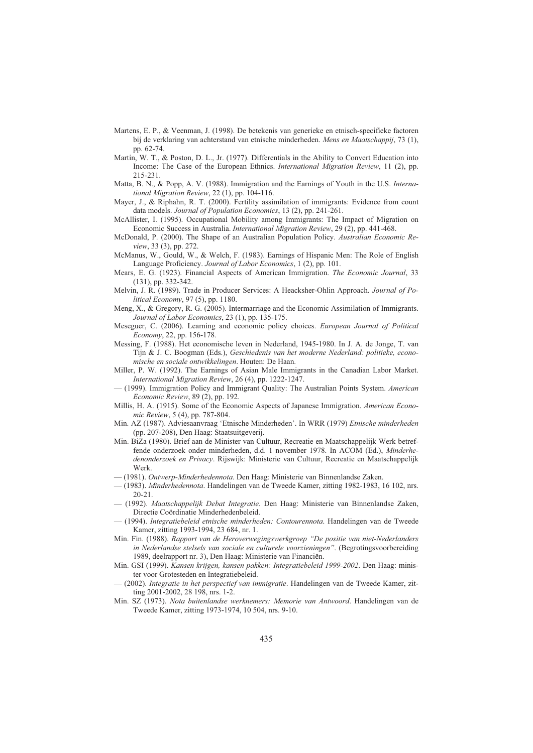- Martens, E. P., & Veenman, J. (1998). De betekenis van generieke en etnisch-specifieke factoren bij de verklaring van achterstand van etnische minderheden. *Mens en Maatschappij*, 73 (1), pp. 62-74.
- Martin, W. T., & Poston, D. L., Jr. (1977). Differentials in the Ability to Convert Education into Income: The Case of the European Ethnics. *International Migration Review*, 11 (2), pp. 215-231.
- Matta, B. N., & Popp, A. V. (1988). Immigration and the Earnings of Youth in the U.S. *International Migration Review*, 22 (1), pp. 104-116.
- Mayer, J., & Riphahn, R. T. (2000). Fertility assimilation of immigrants: Evidence from count data models. *Journal of Population Economics*, 13 (2), pp. 241-261.
- McAllister, I. (1995). Occupational Mobility among Immigrants: The Impact of Migration on Economic Success in Australia. *International Migration Review*, 29 (2), pp. 441-468.
- McDonald, P. (2000). The Shape of an Australian Population Policy. *Australian Economic Review*, 33 (3), pp. 272.
- McManus, W., Gould, W., & Welch, F. (1983). Earnings of Hispanic Men: The Role of English Language Proficiency. *Journal of Labor Economics*, 1 (2), pp. 101.
- Mears, E. G. (1923). Financial Aspects of American Immigration. *The Economic Journal*, 33 (131), pp. 332-342.
- Melvin, J. R. (1989). Trade in Producer Services: A Heacksher-Ohlin Approach. *Journal of Political Economy*, 97 (5), pp. 1180.
- Meng, X., & Gregory, R. G. (2005). Intermarriage and the Economic Assimilation of Immigrants. *Journal of Labor Economics*, 23 (1), pp. 135-175.
- Meseguer, C. (2006). Learning and economic policy choices. *European Journal of Political Economy*, 22, pp. 156-178.
- Messing, F. (1988). Het economische leven in Nederland, 1945-1980. In J. A. de Jonge, T. van Tijn & J. C. Boogman (Eds.), *Geschiedenis van het moderne Nederland: politieke, economische en sociale ontwikkelingen*. Houten: De Haan.
- Miller, P. W. (1992). The Earnings of Asian Male Immigrants in the Canadian Labor Market. *International Migration Review*, 26 (4), pp. 1222-1247.
- (1999). Immigration Policy and Immigrant Quality: The Australian Points System. *American Economic Review*, 89 (2), pp. 192.
- Millis, H. A. (1915). Some of the Economic Aspects of Japanese Immigration. *American Economic Review*, 5 (4), pp. 787-804.
- Min. AZ (1987). Adviesaanvraag 'Etnische Minderheden'. In WRR (1979) *Etnische minderheden* (pp. 207-208), Den Haag: Staatsuitgeverij.
- Min. BiZa (1980). Brief aan de Minister van Cultuur, Recreatie en Maatschappelijk Werk betreffende onderzoek onder minderheden, d.d. 1 november 1978. In ACOM (Ed.), *Minderhedenonderzoek en Privacy*. Rijswijk: Ministerie van Cultuur, Recreatie en Maatschappelijk Werk.
- (1981). *Ontwerp-Minderhedennota*. Den Haag: Ministerie van Binnenlandse Zaken.
- (1983). *Minderhedennota*. Handelingen van de Tweede Kamer, zitting 1982-1983, 16 102, nrs. 20-21.
- (1992). *Maatschappelijk Debat Integratie*. Den Haag: Ministerie van Binnenlandse Zaken, Directie Coördinatie Minderhedenbeleid.
- (1994). *Integratiebeleid etnische minderheden: Contourennota*. Handelingen van de Tweede Kamer, zitting 1993-1994, 23 684, nr. 1.
- Min. Fin. (1988). *Rapport van de Heroverwegingswerkgroep "De positie van niet-Nederlanders in Nederlandse stelsels van sociale en culturele voorzieningen"*. (Begrotingsvoorbereiding 1989, deelrapport nr. 3), Den Haag: Ministerie van Financiën.
- Min. GSI (1999). *Kansen krijgen, kansen pakken: Integratiebeleid 1999-2002*. Den Haag: minister voor Grotesteden en Integratiebeleid.
- (2002). *Integratie in het perspectief van immigratie*. Handelingen van de Tweede Kamer, zitting 2001-2002, 28 198, nrs. 1-2.
- Min. SZ (1973). *Nota buitenlandse werknemers: Memorie van Antwoord*. Handelingen van de Tweede Kamer, zitting 1973-1974, 10 504, nrs. 9-10.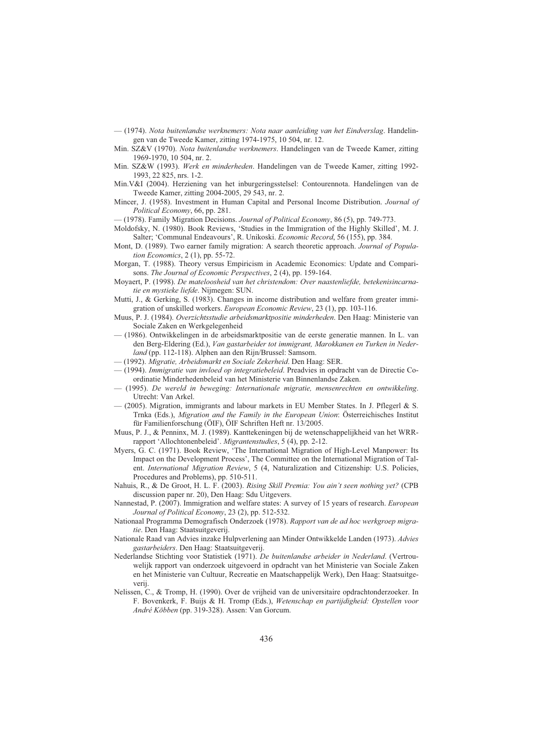- (1974). *Nota buitenlandse werknemers: Nota naar aanleiding van het Eindverslag*. Handelingen van de Tweede Kamer, zitting 1974-1975, 10 504, nr. 12.
- Min. SZ&V (1970). *Nota buitenlandse werknemers*. Handelingen van de Tweede Kamer, zitting 1969-1970, 10 504, nr. 2.
- Min. SZ&W (1993). *Werk en minderheden*. Handelingen van de Tweede Kamer, zitting 1992- 1993, 22 825, nrs. 1-2.
- Min.V&I (2004). Herziening van het inburgeringsstelsel: Contourennota. Handelingen van de Tweede Kamer, zitting 2004-2005, 29 543, nr. 2.
- Mincer, J. (1958). Investment in Human Capital and Personal Income Distribution. *Journal of Political Economy*, 66, pp. 281.
- (1978). Family Migration Decisions. *Journal of Political Economy*, 86 (5), pp. 749-773.
- Moldofsky, N. (1980). Book Reviews, 'Studies in the Immigration of the Highly Skilled', M. J. Salter; 'Communal Endeavours', R. Unikoski. *Economic Record*, 56 (155), pp. 384.
- Mont, D. (1989). Two earner family migration: A search theoretic approach. *Journal of Population Economics*, 2 (1), pp. 55-72.
- Morgan, T. (1988). Theory versus Empiricism in Academic Economics: Update and Comparisons. *The Journal of Economic Perspectives*, 2 (4), pp. 159-164.
- Moyaert, P. (1998). *De mateloosheid van het christendom: Over naastenliefde, betekenisincarnatie en mystieke liefde*. Nijmegen: SUN.
- Mutti, J., & Gerking, S. (1983). Changes in income distribution and welfare from greater immigration of unskilled workers. *European Economic Review*, 23 (1), pp. 103-116.
- Muus, P. J. (1984). *Overzichtsstudie arbeidsmarktpositie minderheden*. Den Haag: Ministerie van Sociale Zaken en Werkgelegenheid
- (1986). Ontwikkelingen in de arbeidsmarktpositie van de eerste generatie mannen. In L. van den Berg-Eldering (Ed.), *Van gastarbeider tot immigrant, Marokkanen en Turken in Nederland* (pp. 112-118). Alphen aan den Rijn/Brussel: Samsom.
- (1992). *Migratie, Arbeidsmarkt en Sociale Zekerheid*. Den Haag: SER.
- (1994). *Immigratie van invloed op integratiebeleid*. Preadvies in opdracht van de Directie Coordinatie Minderhedenbeleid van het Ministerie van Binnenlandse Zaken.
- (1995). *De wereld in beweging: Internationale migratie, mensenrechten en ontwikkeling*. Utrecht: Van Arkel.
- (2005). Migration, immigrants and labour markets in EU Member States. In J. Pflegerl & S. Trnka (Eds.), *Migration and the Family in the European Union*: Österreichisches Institut für Familienforschung (ÖIF), ÖIF Schriften Heft nr. 13/2005.
- Muus, P. J., & Penninx, M. J. (1989). Kanttekeningen bij de wetenschappelijkheid van het WRRrapport 'Allochtonenbeleid'. *Migrantenstudies*, 5 (4), pp. 2-12.
- Myers, G. C. (1971). Book Review, 'The International Migration of High-Level Manpower: Its Impact on the Development Process', The Committee on the International Migration of Talent. *International Migration Review*, 5 (4, Naturalization and Citizenship: U.S. Policies, Procedures and Problems), pp. 510-511.
- Nahuis, R., & De Groot, H. L. F. (2003). *Rising Skill Premia: You ain't seen nothing yet?* (CPB discussion paper nr. 20), Den Haag: Sdu Uitgevers.
- Nannestad, P. (2007). Immigration and welfare states: A survey of 15 years of research. *European Journal of Political Economy*, 23 (2), pp. 512-532.
- Nationaal Programma Demografisch Onderzoek (1978). *Rapport van de ad hoc werkgroep migratie*. Den Haag: Staatsuitgeverij.
- Nationale Raad van Advies inzake Hulpverlening aan Minder Ontwikkelde Landen (1973). *Advies gastarbeiders*. Den Haag: Staatsuitgeverij.
- Nederlandse Stichting voor Statistiek (1971). *De buitenlandse arbeider in Nederland*. (Vertrouwelijk rapport van onderzoek uitgevoerd in opdracht van het Ministerie van Sociale Zaken en het Ministerie van Cultuur, Recreatie en Maatschappelijk Werk), Den Haag: Staatsuitgeverij.
- Nelissen, C., & Tromp, H. (1990). Over de vrijheid van de universitaire opdrachtonderzoeker. In F. Bovenkerk, F. Buijs & H. Tromp (Eds.), *Wetenschap en partijdigheid: Opstellen voor André Köbben* (pp. 319-328). Assen: Van Gorcum.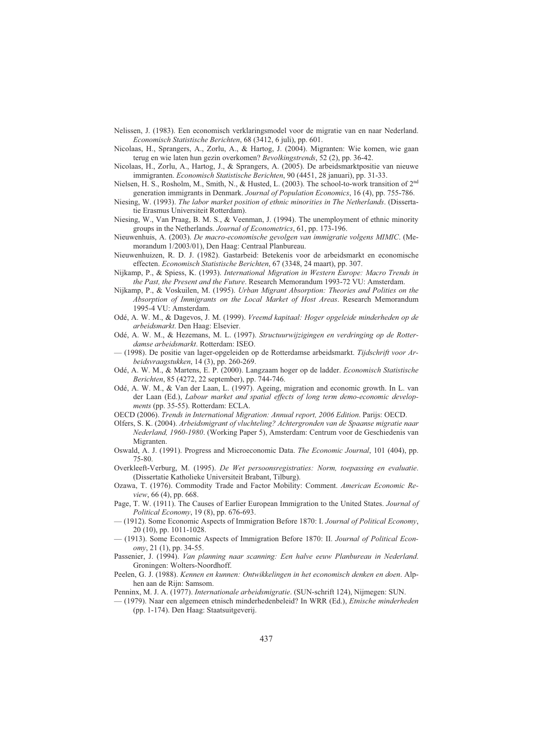Nelissen, J. (1983). Een economisch verklaringsmodel voor de migratie van en naar Nederland. *Economisch Statistische Berichten*, 68 (3412, 6 juli), pp. 601.

- Nicolaas, H., Sprangers, A., Zorlu, A., & Hartog, J. (2004). Migranten: Wie komen, wie gaan terug en wie laten hun gezin overkomen? *Bevolkingstrends*, 52 (2), pp. 36-42.
- Nicolaas, H., Zorlu, A., Hartog, J., & Sprangers, A. (2005). De arbeidsmarktpositie van nieuwe immigranten. *Economisch Statistische Berichten*, 90 (4451, 28 januari), pp. 31-33.
- Nielsen, H. S., Rosholm, M., Smith, N., & Husted, L. (2003). The school-to-work transition of 2nd generation immigrants in Denmark. *Journal of Population Economics*, 16 (4), pp. 755-786.
- Niesing, W. (1993). *The labor market position of ethnic minorities in The Netherlands*. (Dissertatie Erasmus Universiteit Rotterdam).
- Niesing, W., Van Praag, B. M. S., & Veenman, J. (1994). The unemployment of ethnic minority groups in the Netherlands. *Journal of Econometrics*, 61, pp. 173-196.
- Nieuwenhuis, A. (2003). *De macro-economische gevolgen van immigratie volgens MIMIC*. (Memorandum 1/2003/01), Den Haag: Centraal Planbureau.
- Nieuwenhuizen, R. D. J. (1982). Gastarbeid: Betekenis voor de arbeidsmarkt en economische effecten. *Economisch Statistische Berichten*, 67 (3348, 24 maart), pp. 307.
- Nijkamp, P., & Spiess, K. (1993). *International Migration in Western Europe: Macro Trends in the Past, the Present and the Future*. Research Memorandum 1993-72 VU: Amsterdam.
- Nijkamp, P., & Voskuilen, M. (1995). *Urban Migrant Absorption: Theories and Polities on the Absorption of Immigrants on the Local Market of Host Areas*. Research Memorandum 1995-4 VU: Amsterdam.
- Odé, A. W. M., & Dagevos, J. M. (1999). *Vreemd kapitaal: Hoger opgeleide minderheden op de arbeidsmarkt*. Den Haag: Elsevier.
- Odé, A. W. M., & Hezemans, M. L. (1997). *Structuurwijzigingen en verdringing op de Rotterdamse arbeidsmarkt*. Rotterdam: ISEO.
- (1998). De positie van lager-opgeleiden op de Rotterdamse arbeidsmarkt. *Tijdschrift voor Arbeidsvraagstukken*, 14 (3), pp. 260-269.
- Odé, A. W. M., & Martens, E. P. (2000). Langzaam hoger op de ladder. *Economisch Statistische Berichten*, 85 (4272, 22 september), pp. 744-746.
- Odé, A. W. M., & Van der Laan, L. (1997). Ageing, migration and economic growth. In L. van der Laan (Ed.), *Labour market and spatial effects of long term demo-economic developments* (pp. 35-55). Rotterdam: ECLA.
- OECD (2006). *Trends in International Migration: Annual report, 2006 Edition*. Parijs: OECD.
- Olfers, S. K. (2004). *Arbeidsmigrant of vluchteling? Achtergronden van de Spaanse migratie naar Nederland, 1960-1980*. (Working Paper 5), Amsterdam: Centrum voor de Geschiedenis van Migranten.
- Oswald, A. J. (1991). Progress and Microeconomic Data. *The Economic Journal*, 101 (404), pp. 75-80.
- Overkleeft-Verburg, M. (1995). *De Wet persoonsregistraties: Norm, toepassing en evaluatie*. (Dissertatie Katholieke Universiteit Brabant, Tilburg).
- Ozawa, T. (1976). Commodity Trade and Factor Mobility: Comment. *American Economic Review*, 66 (4), pp. 668.
- Page, T. W. (1911). The Causes of Earlier European Immigration to the United States. *Journal of Political Economy*, 19 (8), pp. 676-693.
- (1912). Some Economic Aspects of Immigration Before 1870: I. *Journal of Political Economy*, 20 (10), pp. 1011-1028.
- (1913). Some Economic Aspects of Immigration Before 1870: II. *Journal of Political Economy*, 21 (1), pp. 34-55.
- Passenier, J. (1994). *Van planning naar scanning: Een halve eeuw Planbureau in Nederland*. Groningen: Wolters-Noordhoff.
- Peelen, G. J. (1988). *Kennen en kunnen: Ontwikkelingen in het economisch denken en doen*. Alphen aan de Rijn: Samsom.
- Penninx, M. J. A. (1977). *Internationale arbeidsmigratie*. (SUN-schrift 124), Nijmegen: SUN.
- (1979). Naar een algemeen etnisch minderhedenbeleid? In WRR (Ed.), *Etnische minderheden* (pp. 1-174). Den Haag: Staatsuitgeverij.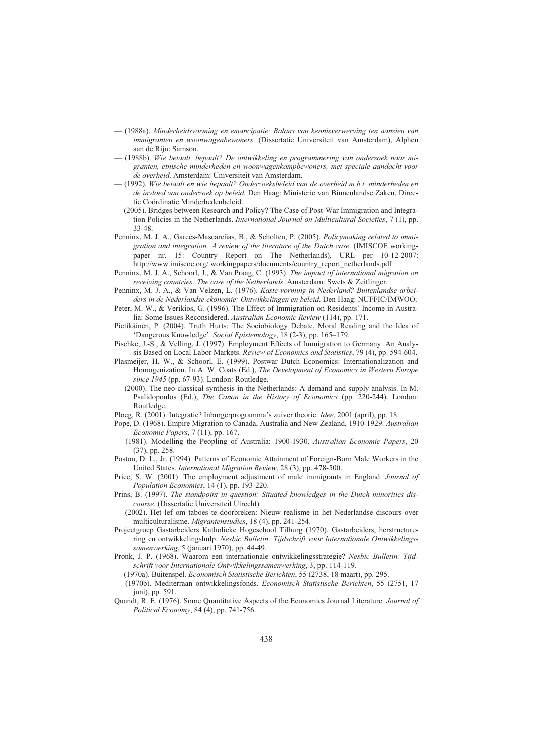- (1988a). *Minderheidsvorming en emancipatie: Balans van kennisverwerving ten aanzien van immigranten en woonwagenbewoners*. (Dissertatie Universiteit van Amsterdam), Alphen aan de Rijn: Samson.
- (1988b). *Wie betaalt, bepaalt? De ontwikkeling en programmering van onderzoek naar migranten, etnische minderheden en woonwagenkampbewoners, met speciale aandacht voor de overheid*. Amsterdam: Universiteit van Amsterdam.
- (1992). *Wie betaalt en wie bepaalt? Onderzoeksbeleid van de overheid m.b.t. minderheden en de invloed van onderzoek op beleid.* Den Haag: Ministerie van Binnenlandse Zaken, Directie Coördinatie Minderhedenbeleid.
- (2005). Bridges between Research and Policy? The Case of Post-War Immigration and Integration Policies in the Netherlands. *International Journal on Multicultural Societies*, 7 (1), pp. 33-48.
- Penninx, M. J. A., Garcés-Mascareñas, B., & Scholten, P. (2005). *Policymaking related to immigration and integration: A review of the literature of the Dutch case*. (IMISCOE workingpaper nr. 15: Country Report on The Netherlands), URL per 10-12-2007: http://www.imiscoe.org/ workingpapers/documents/country\_report\_netherlands.pdf
- Penninx, M. J. A., Schoorl, J., & Van Praag, C. (1993). *The impact of international migration on receiving countries: The case of the Netherlands*. Amsterdam: Swets & Zeitlinger.
- Penninx, M. J. A., & Van Velzen, L. (1976). *Kaste-vorming in Nederland? Buitenlandse arbeiders in de Nederlandse ekonomie: Ontwikkelingen en beleid*. Den Haag: NUFFIC/IMWOO.
- Peter, M. W., & Verikios, G. (1996). The Effect of Immigration on Residents' Income in Australia: Some Issues Reconsidered. *Australian Economic Review* (114), pp. 171.
- Pietikäinen, P. (2004). Truth Hurts: The Sociobiology Debate, Moral Reading and the Idea of 'Dangerous Knowledge'. *Social Epistemology*, 18 (2-3), pp. 165–179.
- Pischke, J.-S., & Velling, J. (1997). Employment Effects of Immigration to Germany: An Analysis Based on Local Labor Markets. *Review of Economics and Statistics*, 79 (4), pp. 594-604.
- Plasmeijer, H. W., & Schoorl, E. (1999). Postwar Dutch Economics: Internationalization and Homogenization. In A. W. Coats (Ed.), *The Development of Economics in Western Europe since 1945* (pp. 67-93). London: Routledge.
- (2000). The neo-classical synthesis in the Netherlands: A demand and supply analysis. In M. Psalidopoulos (Ed.), *The Canon in the History of Economics* (pp. 220-244). London: Routledge.
- Ploeg, R. (2001). Integratie? Inburgerprogramma's zuiver theorie. *Idee*, 2001 (april), pp. 18.
- Pope, D. (1968). Empire Migration to Canada, Australia and New Zealand, 1910-1929. *Australian Economic Papers*, 7 (11), pp. 167.
- (1981). Modelling the Peopling of Australia: 1900-1930. *Australian Economic Papers*, 20 (37), pp. 258.
- Poston, D. L., Jr. (1994). Patterns of Economic Attainment of Foreign-Born Male Workers in the United States. *International Migration Review*, 28 (3), pp. 478-500.
- Price, S. W. (2001). The employment adjustment of male immigrants in England. *Journal of Population Economics*, 14 (1), pp. 193-220.
- Prins, B. (1997). *The standpoint in question: Situated knowledges in the Dutch minorities discourse*. (Dissertatie Universiteit Utrecht).
- (2002). Het lef om taboes te doorbreken: Nieuw realisme in het Nederlandse discours over multiculturalisme. *Migrantenstudies*, 18 (4), pp. 241-254.
- Projectgroep Gastarbeiders Katholieke Hogeschool Tilburg (1970). Gastarbeiders, herstructurering en ontwikkelingshulp. *Nesbic Bulletin: Tijdschrift voor Internationale Ontwikkelingssamenwerking*, 5 (januari 1970), pp. 44-49.
- Pronk, J. P. (1968). Waarom een internationale ontwikkelingsstrategie? *Nesbic Bulletin: Tijdschrift voor Internationale Ontwikkelingssamenwerking*, 3, pp. 114-119.
- (1970a). Buitenspel. *Economisch Statistische Berichten*, 55 (2738, 18 maart), pp. 295.
- (1970b). Mediterraan ontwikkelingsfonds. *Economisch Statistische Berichten*, 55 (2751, 17 juni), pp. 591.
- Quandt, R. E. (1976). Some Quantitative Aspects of the Economics Journal Literature. *Journal of Political Economy*, 84 (4), pp. 741-756.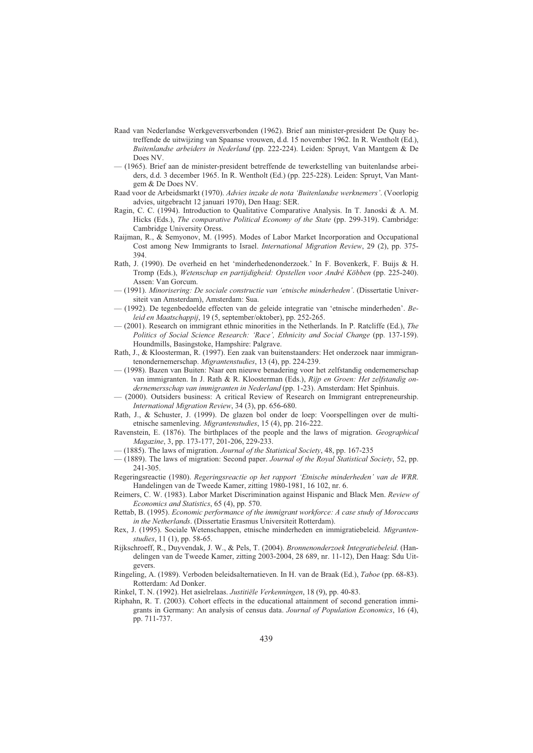- Raad van Nederlandse Werkgeversverbonden (1962). Brief aan minister-president De Quay betreffende de uitwijzing van Spaanse vrouwen, d.d. 15 november 1962. In R. Wentholt (Ed.), *Buitenlandse arbeiders in Nederland* (pp. 222-224). Leiden: Spruyt, Van Mantgem & De Does NV.
- (1965). Brief aan de minister-president betreffende de tewerkstelling van buitenlandse arbeiders, d.d. 3 december 1965. In R. Wentholt (Ed.) (pp. 225-228). Leiden: Spruyt, Van Mantgem & De Does NV.
- Raad voor de Arbeidsmarkt (1970). *Advies inzake de nota 'Buitenlandse werknemers'*. (Voorlopig advies, uitgebracht 12 januari 1970), Den Haag: SER.
- Ragin, C. C. (1994). Introduction to Qualitative Comparative Analysis. In T. Janoski & A. M. Hicks (Eds.), *The comparative Political Economy of the State* (pp. 299-319). Cambridge: Cambridge University Oress.
- Raijman, R., & Semyonov, M. (1995). Modes of Labor Market Incorporation and Occupational Cost among New Immigrants to Israel. *International Migration Review*, 29 (2), pp. 375- 394.
- Rath, J. (1990). De overheid en het 'minderhedenonderzoek.' In F. Bovenkerk, F. Buijs & H. Tromp (Eds.), *Wetenschap en partijdigheid: Opstellen voor André Köbben* (pp. 225-240). Assen: Van Gorcum.
- (1991). *Minorisering: De sociale constructie van 'etnische minderheden'*. (Dissertatie Universiteit van Amsterdam), Amsterdam: Sua.
- (1992). De tegenbedoelde effecten van de geleide integratie van 'etnische minderheden'. *Beleid en Maatschappij*, 19 (5, september/oktober), pp. 252-265.
- (2001). Research on immigrant ethnic minorities in the Netherlands. In P. Ratcliffe (Ed.), *The Politics of Social Science Research: 'Race', Ethnicity and Social Change* (pp. 137-159). Houndmills, Basingstoke, Hampshire: Palgrave.
- Rath, J., & Kloosterman, R. (1997). Een zaak van buitenstaanders: Het onderzoek naar immigrantenondernemerschap. *Migrantenstudies*, 13 (4), pp. 224-239.
- (1998). Bazen van Buiten: Naar een nieuwe benadering voor het zelfstandig ondernemerschap van immigranten. In J. Rath & R. Kloosterman (Eds.), *Rijp en Groen: Het zelfstandig ondernemersschap van immigranten in Nederland* (pp. 1-23). Amsterdam: Het Spinhuis.
- (2000). Outsiders business: A critical Review of Research on Immigrant entrepreneurship. *International Migration Review*, 34 (3), pp. 656-680.
- Rath, J., & Schuster, J. (1999). De glazen bol onder de loep: Voorspellingen over de multietnische samenleving. *Migrantenstudies*, 15 (4), pp. 216-222.
- Ravenstein, E. (1876). The birthplaces of the people and the laws of migration. *Geographical Magazine*, 3, pp. 173-177, 201-206, 229-233.
- (1885). The laws of migration. *Journal of the Statistical Society*, 48, pp. 167-235
- (1889). The laws of migration: Second paper. *Journal of the Royal Statistical Society*, 52, pp. 241-305.
- Regeringsreactie (1980). *Regeringsreactie op het rapport 'Etnische minderheden' van de WRR*. Handelingen van de Tweede Kamer, zitting 1980-1981, 16 102, nr. 6.
- Reimers, C. W. (1983). Labor Market Discrimination against Hispanic and Black Men. *Review of Economics and Statistics*, 65 (4), pp. 570.
- Rettab, B. (1995). *Economic performance of the immigrant workforce: A case study of Moroccans in the Netherlands*. (Dissertatie Erasmus Universiteit Rotterdam).
- Rex, J. (1995). Sociale Wetenschappen, etnische minderheden en immigratiebeleid. *Migrantenstudies*, 11 (1), pp. 58-65.
- Rijkschroeff, R., Duyvendak, J. W., & Pels, T. (2004). *Bronnenonderzoek Integratiebeleid*. (Handelingen van de Tweede Kamer, zitting 2003-2004, 28 689, nr. 11-12), Den Haag: Sdu Uitgevers.
- Ringeling, A. (1989). Verboden beleidsalternatieven. In H. van de Braak (Ed.), *Taboe* (pp. 68-83). Rotterdam: Ad Donker.
- Rinkel, T. N. (1992). Het asielrelaas. *Justitiële Verkenningen*, 18 (9), pp. 40-83.
- Riphahn, R. T. (2003). Cohort effects in the educational attainment of second generation immigrants in Germany: An analysis of census data. *Journal of Population Economics*, 16 (4), pp. 711-737.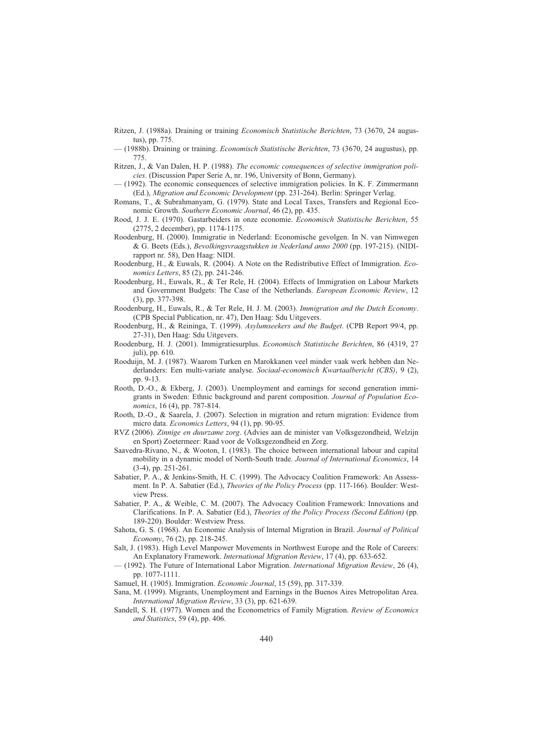- Ritzen, J. (1988a). Draining or training *Economisch Statistische Berichten*, 73 (3670, 24 augustus), pp. 775.
- (1988b). Draining or training. *Economisch Statistische Berichten*, 73 (3670, 24 augustus), pp. 775.
- Ritzen, J., & Van Dalen, H. P. (1988). *The economic consequences of selective immigration policies*. (Discussion Paper Serie A, nr. 196, University of Bonn, Germany).
- (1992). The economic consequences of selective immigration policies. In K. F. Zimmermann (Ed.), *Migration and Economic Development* (pp. 231-264). Berlin: Springer Verlag.
- Romans, T., & Subrahmanyam, G. (1979). State and Local Taxes, Transfers and Regional Economic Growth. *Southern Economic Journal*, 46 (2), pp. 435.
- Rood, J. J. E. (1970). Gastarbeiders in onze economie. *Economisch Statistische Berichten*, 55 (2775, 2 december), pp. 1174-1175.
- Roodenburg, H. (2000). Immigratie in Nederland: Economische gevolgen. In N. van Nimwegen & G. Beets (Eds.), *Bevolkingsvraagstukken in Nederland anno 2000* (pp. 197-215). (NIDIrapport nr. 58), Den Haag: NIDI.
- Roodenburg, H., & Euwals, R. (2004). A Note on the Redistributive Effect of Immigration. *Economics Letters*, 85 (2), pp. 241-246.
- Roodenburg, H., Euwals, R., & Ter Rele, H. (2004). Effects of Immigration on Labour Markets and Government Budgets: The Case of the Netherlands. *European Economic Review*, 12 (3), pp. 377-398.
- Roodenburg, H., Euwals, R., & Ter Rele, H. J. M. (2003). *Immigration and the Dutch Economy*. (CPB Special Publication, nr. 47), Den Haag: Sdu Uitgevers.
- Roodenburg, H., & Reininga, T. (1999). *Asylumseekers and the Budget*. (CPB Report 99/4, pp. 27-31), Den Haag: Sdu Uitgevers.
- Roodenburg, H. J. (2001). Immigratiesurplus. *Economisch Statistische Berichten*, 86 (4319, 27 juli), pp. 610.
- Rooduijn, M. J. (1987). Waarom Turken en Marokkanen veel minder vaak werk hebben dan Nederlanders: Een multi-variate analyse. *Sociaal-economisch Kwartaalbericht (CBS)*, 9 (2), pp. 9-13.
- Rooth, D.-O., & Ekberg, J. (2003). Unemployment and earnings for second generation immigrants in Sweden: Ethnic background and parent composition. *Journal of Population Economics*, 16 (4), pp. 787-814.
- Rooth, D.-O., & Saarela, J. (2007). Selection in migration and return migration: Evidence from micro data. *Economics Letters*, 94 (1), pp. 90-95.
- RVZ (2006). *Zinnige en duurzame zorg*. (Advies aan de minister van Volksgezondheid, Welzijn en Sport) Zoetermeer: Raad voor de Volksgezondheid en Zorg.
- Saavedra-Rivano, N., & Wooton, I. (1983). The choice between international labour and capital mobility in a dynamic model of North-South trade. *Journal of International Economics*, 14 (3-4), pp. 251-261.
- Sabatier, P. A., & Jenkins-Smith, H. C. (1999). The Advocacy Coalition Framework: An Assessment. In P. A. Sabatier (Ed.), *Theories of the Policy Process* (pp. 117-166). Boulder: Westview Press.
- Sabatier, P. A., & Weible, C. M. (2007). The Advocacy Coalition Framework: Innovations and Clarifications. In P. A. Sabatier (Ed.), *Theories of the Policy Process (Second Edition)* (pp. 189-220). Boulder: Westview Press.
- Sahota, G. S. (1968). An Economic Analysis of Internal Migration in Brazil. *Journal of Political Economy*, 76 (2), pp. 218-245.
- Salt, J. (1983). High Level Manpower Movements in Northwest Europe and the Role of Careers: An Explanatory Framework. *International Migration Review*, 17 (4), pp. 633-652.
- (1992). The Future of International Labor Migration. *International Migration Review*, 26 (4), pp. 1077-1111.
- Samuel, H. (1905). Immigration. *Economic Journal*, 15 (59), pp. 317-339.
- Sana, M. (1999). Migrants, Unemployment and Earnings in the Buenos Aires Metropolitan Area. *International Migration Review*, 33 (3), pp. 621-639.
- Sandell, S. H. (1977). Women and the Econometrics of Family Migration. *Review of Economics and Statistics*, 59 (4), pp. 406.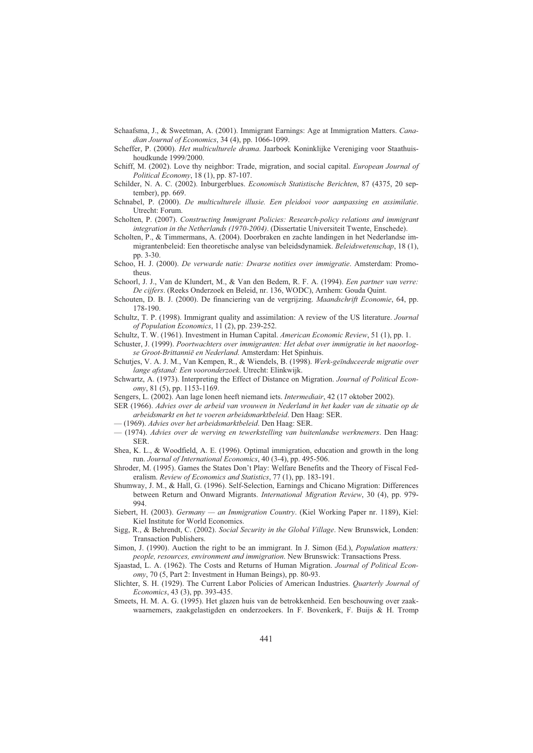- Schaafsma, J., & Sweetman, A. (2001). Immigrant Earnings: Age at Immigration Matters. *Canadian Journal of Economics*, 34 (4), pp. 1066-1099.
- Scheffer, P. (2000). *Het multiculturele drama*. Jaarboek Koninklijke Vereniging voor Staathuishoudkunde 1999/2000.
- Schiff, M. (2002). Love thy neighbor: Trade, migration, and social capital. *European Journal of Political Economy*, 18 (1), pp. 87-107.
- Schilder, N. A. C. (2002). Inburgerblues. *Economisch Statistische Berichten*, 87 (4375, 20 september), pp. 669.
- Schnabel, P. (2000). *De multiculturele illusie. Een pleidooi voor aanpassing en assimilatie*. Utrecht: Forum.
- Scholten, P. (2007). *Constructing Immigrant Policies: Research-policy relations and immigrant integration in the Netherlands (1970-2004)*. (Dissertatie Universiteit Twente, Enschede).
- Scholten, P., & Timmermans, A. (2004). Doorbraken en zachte landingen in het Nederlandse immigrantenbeleid: Een theoretische analyse van beleidsdynamiek. *Beleidswetenschap*, 18 (1), pp. 3-30.
- Schoo, H. J. (2000). *De verwarde natie: Dwarse notities over immigratie*. Amsterdam: Promotheus.
- Schoorl, J. J., Van de Klundert, M., & Van den Bedem, R. F. A. (1994). *Een partner van verre: De cijfers*. (Reeks Onderzoek en Beleid, nr. 136, WODC), Arnhem: Gouda Quint.
- Schouten, D. B. J. (2000). De financiering van de vergrijzing. *Maandschrift Economie*, 64, pp. 178-190.
- Schultz, T. P. (1998). Immigrant quality and assimilation: A review of the US literature. *Journal of Population Economics*, 11 (2), pp. 239-252.
- Schultz, T. W. (1961). Investment in Human Capital. *American Economic Review*, 51 (1), pp. 1.
- Schuster, J. (1999). *Poortwachters over immigranten: Het debat over immigratie in het naoorlogse Groot-Brittannië en Nederland*. Amsterdam: Het Spinhuis.
- Schutjes, V. A. J. M., Van Kempen, R., & Wiendels, B. (1998). *Werk-geïnduceerde migratie over lange afstand: Een vooronderzoek*. Utrecht: Elinkwijk.
- Schwartz, A. (1973). Interpreting the Effect of Distance on Migration. *Journal of Political Economy*, 81 (5), pp. 1153-1169.
- Sengers, L. (2002). Aan lage lonen heeft niemand iets. *Intermediair*, 42 (17 oktober 2002).
- SER (1966). *Advies over de arbeid van vrouwen in Nederland in het kader van de situatie op de arbeidsmarkt en het te voeren arbeidsmarktbeleid*. Den Haag: SER.
- (1969). *Advies over het arbeidsmarktbeleid*. Den Haag: SER.
- (1974). *Advies over de werving en tewerkstelling van buitenlandse werknemers*. Den Haag: SER.
- Shea, K. L., & Woodfield, A. E. (1996). Optimal immigration, education and growth in the long run. *Journal of International Economics*, 40 (3-4), pp. 495-506.
- Shroder, M. (1995). Games the States Don't Play: Welfare Benefits and the Theory of Fiscal Federalism. *Review of Economics and Statistics*, 77 (1), pp. 183-191.
- Shumway, J. M., & Hall, G. (1996). Self-Selection, Earnings and Chicano Migration: Differences between Return and Onward Migrants. *International Migration Review*, 30 (4), pp. 979- 994.
- Siebert, H. (2003). *Germany an Immigration Country*. (Kiel Working Paper nr. 1189), Kiel: Kiel Institute for World Economics.
- Sigg, R., & Behrendt, C. (2002). *Social Security in the Global Village*. New Brunswick, Londen: Transaction Publishers.
- Simon, J. (1990). Auction the right to be an immigrant. In J. Simon (Ed.), *Population matters: people, resources, environment and immigration*. New Brunswick: Transactions Press.
- Sjaastad, L. A. (1962). The Costs and Returns of Human Migration. *Journal of Political Economy*, 70 (5, Part 2: Investment in Human Beings), pp. 80-93.
- Slichter, S. H. (1929). The Current Labor Policies of American Industries. *Quarterly Journal of Economics*, 43 (3), pp. 393-435.
- Smeets, H. M. A. G. (1995). Het glazen huis van de betrokkenheid. Een beschouwing over zaakwaarnemers, zaakgelastigden en onderzoekers. In F. Bovenkerk, F. Buijs & H. Tromp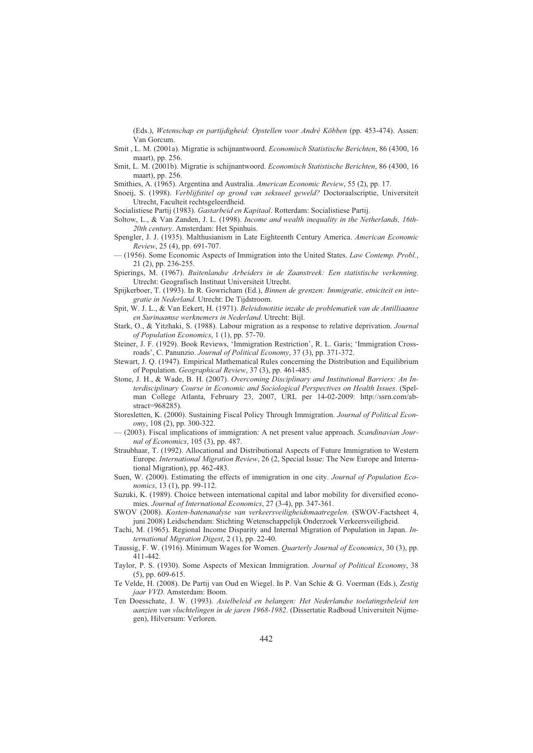(Eds.), *Wetenschap en partijdigheid: Opstellen voor André Köbben* (pp. 453-474). Assen: Van Gorcum.

- Smit , L. M. (2001a). Migratie is schijnantwoord. *Economisch Statistische Berichten*, 86 (4300, 16 maart), pp. 256.
- Smit, L. M. (2001b). Migratie is schijnantwoord. *Economisch Statistische Berichten*, 86 (4300, 16 maart), pp. 256.
- Smithies, A. (1965). Argentina and Australia. *American Economic Review*, 55 (2), pp. 17.
- Snoeij, S. (1998). *Verblijfstitel op grond van seksueel geweld?* Doctoraalscriptie, Universiteit Utrecht, Faculteit rechtsgeleerdheid.
- Socialistiese Partij (1983). *Gastarbeid en Kapitaal*. Rotterdam: Socialistiese Partij.
- Soltow, L., & Van Zanden, J. L. (1998). *Income and wealth inequality in the Netherlands, 16th-20th century*. Amsterdam: Het Spinhuis.
- Spengler, J. J. (1935). Malthusianism in Late Eighteenth Century America. *American Economic Review*, 25 (4), pp. 691-707.
- (1956). Some Economic Aspects of Immigration into the United States. *Law Contemp. Probl.*, 21 (2), pp. 236-255.
- Spierings, M. (1967). *Buitenlandse Arbeiders in de Zaanstreek: Een statistische verkenning*. Utrecht: Geografisch Instituut Universiteit Utrecht.
- Spijkerboer, T. (1993). In R. Gowricharn (Ed.), *Binnen de grenzen: Immigratie, etniciteit en integratie in Nederland*. Utrecht: De Tijdstroom.
- Spit, W. J. L., & Van Eekert, H. (1971). *Beleidsnotitie inzake de problematiek van de Antilliaanse en Surinaamse werknemers in Nederland*. Utrecht: Bijl.
- Stark, O., & Yitzhaki, S. (1988). Labour migration as a response to relative deprivation. *Journal of Population Economics*, 1 (1), pp. 57-70.
- Steiner, J. F. (1929). Book Reviews, 'Immigration Restriction', R. L. Garis; 'Immigration Crossroads', C. Panunzio. *Journal of Political Economy*, 37 (3), pp. 371-372.
- Stewart, J. Q. (1947). Empirical Mathematical Rules concerning the Distribution and Equilibrium of Population. *Geographical Review*, 37 (3), pp. 461-485.
- Stone, J. H., & Wade, B. H. (2007). *Overcoming Disciplinary and Institutional Barriers: An Interdisciplinary Course in Economic and Sociological Perspectives on Health Issues*. (Spelman College Atlanta, February 23, 2007, URL per 14-02-2009: http://ssrn.com/abstract=968285).
- Storesletten, K. (2000). Sustaining Fiscal Policy Through Immigration. *Journal of Political Economy*, 108 (2), pp. 300-322.
- (2003). Fiscal implications of immigration: A net present value approach. *Scandinavian Journal of Economics*, 105 (3), pp. 487.
- Straubhaar, T. (1992). Allocational and Distributional Aspects of Future Immigration to Western Europe. *International Migration Review*, 26 (2, Special Issue: The New Europe and International Migration), pp. 462-483.
- Suen, W. (2000). Estimating the effects of immigration in one city. *Journal of Population Economics*, 13 (1), pp. 99-112.
- Suzuki, K. (1989). Choice between international capital and labor mobility for diversified economies. *Journal of International Economics*, 27 (3-4), pp. 347-361.
- SWOV (2008). *Kosten-batenanalyse van verkeersveiligheidsmaatregelen*. (SWOV-Factsheet 4, juni 2008) Leidschendam: Stichting Wetenschappelijk Onderzoek Verkeersveiligheid.
- Tachi, M. (1965). Regional Income Disparity and Internal Migration of Population in Japan. *International Migration Digest*, 2 (1), pp. 22-40.
- Taussig, F. W. (1916). Minimum Wages for Women. *Quarterly Journal of Economics*, 30 (3), pp. 411-442.
- Taylor, P. S. (1930). Some Aspects of Mexican Immigration. *Journal of Political Economy*, 38 (5), pp. 609-615.
- Te Velde, H. (2008). De Partij van Oud en Wiegel. In P. Van Schie & G. Voerman (Eds.), *Zestig jaar VVD*. Amsterdam: Boom.
- Ten Doesschate, J. W. (1993). *Asielbeleid en belangen: Het Nederlandse toelatingsbeleid ten aanzien van vluchtelingen in de jaren 1968-1982*. (Dissertatie Radboud Universiteit Nijmegen), Hilversum: Verloren.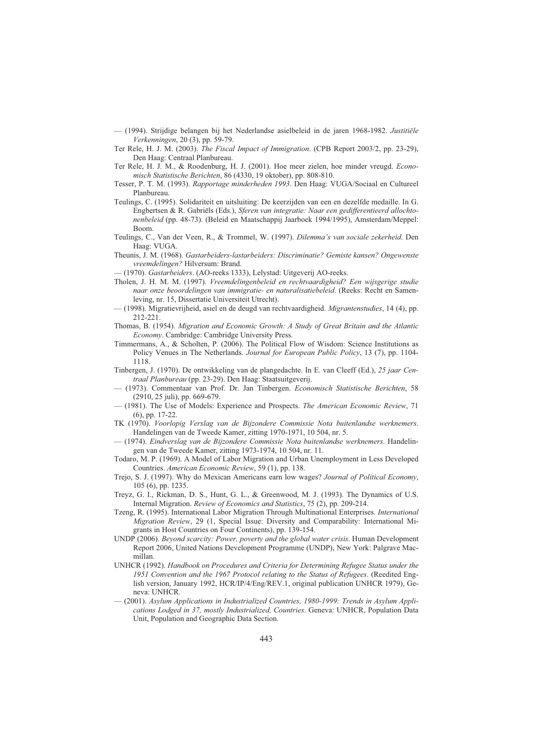- (1994). Strijdige belangen bij het Nederlandse asielbeleid in de jaren 1968-1982. *Justitiële Verkenningen*, 20 (3), pp. 59-79.
- Ter Rele, H. J. M. (2003). *The Fiscal Impact of Immigration*. (CPB Report 2003/2, pp. 23-29), Den Haag: Centraal Planbureau.
- Ter Rele, H. J. M., & Roodenburg, H. J. (2001). Hoe meer zielen, hoe minder vreugd. *Economisch Statistische Berichten*, 86 (4330, 19 oktober), pp. 808-810.
- Tesser, P. T. M. (1993). *Rapportage minderheden 1993*. Den Haag: VUGA/Sociaal en Cultureel Planbureau.
- Teulings, C. (1995). Solidariteit en uitsluiting: De keerzijden van een en dezelfde medaille. In G. Engbertsen & R. Gabriëls (Eds.), *Sferen van integratie: Naar een gedifferentieerd allochtonenbeleid* (pp. 48-73). (Beleid en Maatschappij Jaarboek 1994/1995), Amsterdam/Meppel: Boom.
- Teulings, C., Van der Veen, R., & Trommel, W. (1997). *Dilemma's van sociale zekerheid*. Den Haag: VUGA.
- Theunis, J. M. (1968). *Gastarbeiders-lastarbeiders: Discriminatie? Gemiste kansen? Ongewenste vreemdelingen?* Hilversum: Brand.
- (1970). *Gastarbeiders*. (AO-reeks 1333), Lelystad: Uitgeverij AO-reeks.
- Tholen, J. H. M. M. (1997). *Vreemdelingenbeleid en rechtvaardigheid? Een wijsgerige studie naar onze beoordelingen van immigratie- en naturalisatiebeleid*. (Reeks: Recht en Samenleving, nr. 15, Dissertatie Universiteit Utrecht).
- (1998). Migratievrijheid, asiel en de deugd van rechtvaardigheid. *Migrantenstudies*, 14 (4), pp. 212-221.
- Thomas, B. (1954). *Migration and Economic Growth: A Study of Great Britain and the Atlantic Economy*. Cambridge: Cambridge University Press.
- Timmermans, A., & Scholten, P. (2006). The Political Flow of Wisdom: Science Institutions as Policy Venues in The Netherlands. *Journal for European Public Policy*, 13 (7), pp. 1104- 1118.
- Tinbergen, J. (1970). De ontwikkeling van de plangedachte. In E. van Cleeff (Ed.), *25 jaar Centraal Planbureau* (pp. 23-29). Den Haag: Staatsuitgeverij.
- (1973). Commentaar van Prof. Dr. Jan Tinbergen. *Economisch Statistische Berichten*, 58 (2910, 25 juli), pp. 669-679.
- (1981). The Use of Models: Experience and Prospects. *The American Economic Review*, 71 (6), pp. 17-22.
- TK (1970). *Voorlopig Verslag van de Bijzondere Commissie Nota buitenlandse werknemers*. Handelingen van de Tweede Kamer, zitting 1970-1971, 10 504, nr. 5.
- (1974). *Eindverslag van de Bijzondere Commissie Nota buitenlandse werknemers*. Handelingen van de Tweede Kamer, zitting 1973-1974, 10 504, nr. 11.
- Todaro, M. P. (1969). A Model of Labor Migration and Urban Unemployment in Less Developed Countries. *American Economic Review*, 59 (1), pp. 138.
- Trejo, S. J. (1997). Why do Mexican Americans earn low wages? *Journal of Political Economy*, 105 (6), pp. 1235.
- Treyz, G. I., Rickman, D. S., Hunt, G. L., & Greenwood, M. J. (1993). The Dynamics of U.S. Internal Migration. *Review of Economics and Statistics*, 75 (2), pp. 209-214.
- Tzeng, R. (1995). International Labor Migration Through Multinational Enterprises. *International Migration Review*, 29 (1, Special Issue: Diversity and Comparability: International Migrants in Host Countries on Four Continents), pp. 139-154.
- UNDP (2006). *Beyond scarcity: Power, poverty and the global water crisis*. Human Development Report 2006, United Nations Development Programme (UNDP), New York: Palgrave Macmillan.
- UNHCR (1992). *Handbook on Procedures and Criteria for Determining Refugee Status under the 1951 Convention and the 1967 Protocol relating to the Status of Refugees*. (Reedited English version, January 1992, HCR/IP/4/Eng/REV.1, original publication UNHCR 1979), Geneva: UNHCR.
- (2001). *Asylum Applications in Industrialized Countries, 1980-1999: Trends in Asylum Applications Lodged in 37, mostly Industrialized, Countries*. Geneva: UNHCR, Population Data Unit, Population and Geographic Data Section.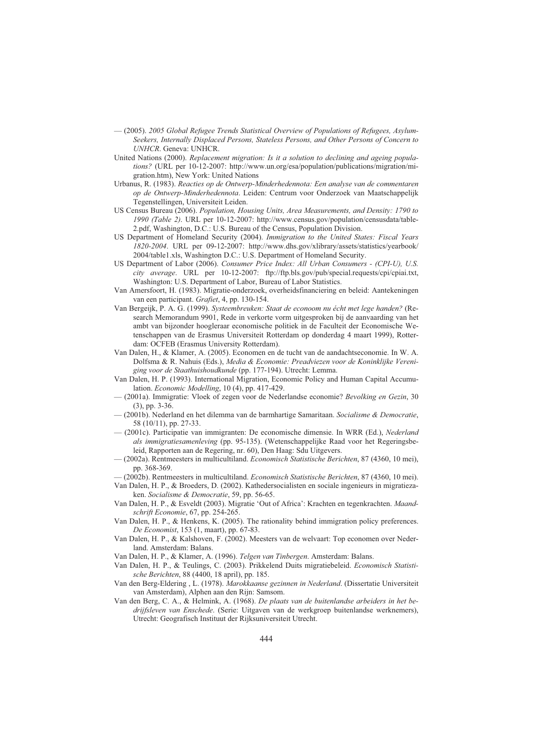- (2005). *2005 Global Refugee Trends Statistical Overview of Populations of Refugees, Asylum-Seekers, Internally Displaced Persons, Stateless Persons, and Other Persons of Concern to UNHCR*. Geneva: UNHCR.
- United Nations (2000). *Replacement migration: Is it a solution to declining and ageing populations?* (URL per 10-12-2007: http://www.un.org/esa/population/publications/migration/migration.htm), New York: United Nations
- Urbanus, R. (1983). *Reacties op de Ontwerp-Minderhedennota: Een analyse van de commentaren op de Ontwerp-Minderhedennota*. Leiden: Centrum voor Onderzoek van Maatschappelijk Tegenstellingen, Universiteit Leiden.
- US Census Bureau (2006). *Population, Housing Units, Area Measurements, and Density: 1790 to 1990 (Table 2)*. URL per 10-12-2007: http://www.census.gov/population/censusdata/table-2.pdf, Washington, D.C.: U.S. Bureau of the Census, Population Division.
- US Department of Homeland Security (2004). *Immigration to the United States: Fiscal Years 1820-2004*. URL per 09-12-2007: http://www.dhs.gov/xlibrary/assets/statistics/yearbook/ 2004/table1.xls, Washington D.C.: U.S. Department of Homeland Security.
- US Department of Labor (2006). *Consumer Price Index: All Urban Consumers (CPI-U), U.S. city average*. URL per 10-12-2007: ftp://ftp.bls.gov/pub/special.requests/cpi/cpiai.txt, Washington: U.S. Department of Labor, Bureau of Labor Statistics.
- Van Amersfoort, H. (1983). Migratie-onderzoek, overheidsfinanciering en beleid: Aantekeningen van een participant. *Grafiet*, 4, pp. 130-154.
- Van Bergeijk, P. A. G. (1999). *Systeembreuken: Staat de econoom nu écht met lege handen?* (Research Memorandum 9901, Rede in verkorte vorm uitgesproken bij de aanvaarding van het ambt van bijzonder hoogleraar economische politiek in de Faculteit der Economische Wetenschappen van de Erasmus Universiteit Rotterdam op donderdag 4 maart 1999), Rotterdam: OCFEB (Erasmus University Rotterdam).
- Van Dalen, H., & Klamer, A. (2005). Economen en de tucht van de aandachtseconomie. In W. A. Dolfsma & R. Nahuis (Eds.), *Media & Economie: Preadviezen voor de Koninklijke Vereniging voor de Staathuishoudkunde* (pp. 177-194). Utrecht: Lemma.
- Van Dalen, H. P. (1993). International Migration, Economic Policy and Human Capital Accumulation. *Economic Modelling*, 10 (4), pp. 417-429.
- (2001a). Immigratie: Vloek of zegen voor de Nederlandse economie? *Bevolking en Gezin*, 30 (3), pp. 3-36.
- (2001b). Nederland en het dilemma van de barmhartige Samaritaan. *Socialisme & Democratie*, 58 (10/11), pp. 27-33.
- (2001c). Participatie van immigranten: De economische dimensie. In WRR (Ed.), *Nederland als immigratiesamenleving* (pp. 95-135). (Wetenschappelijke Raad voor het Regeringsbeleid, Rapporten aan de Regering, nr. 60), Den Haag: Sdu Uitgevers.
- (2002a). Rentmeesters in multicultiland. *Economisch Statistische Berichten*, 87 (4360, 10 mei), pp. 368-369.
- (2002b). Rentmeesters in multicultiland. *Economisch Statistische Berichten*, 87 (4360, 10 mei).
- Van Dalen, H. P., & Broeders, D. (2002). Kathedersocialisten en sociale ingenieurs in migratiezaken. *Socialisme & Democratie*, 59, pp. 56-65.
- Van Dalen, H. P., & Esveldt (2003). Migratie 'Out of Africa': Krachten en tegenkrachten. *Maandschrift Economie*, 67, pp. 254-265.
- Van Dalen, H. P., & Henkens, K. (2005). The rationality behind immigration policy preferences. *De Economist*, 153 (1, maart), pp. 67-83.
- Van Dalen, H. P., & Kalshoven, F. (2002). Meesters van de welvaart: Top economen over Nederland. Amsterdam: Balans.
- Van Dalen, H. P., & Klamer, A. (1996). *Telgen van Tinbergen*. Amsterdam: Balans.
- Van Dalen, H. P., & Teulings, C. (2003). Prikkelend Duits migratiebeleid. *Economisch Statistische Berichten*, 88 (4400, 18 april), pp. 185.
- Van den Berg-Eldering , L. (1978). *Marokkaanse gezinnen in Nederland*. (Dissertatie Universiteit van Amsterdam), Alphen aan den Rijn: Samsom.
- Van den Berg, C. A., & Helmink, A. (1968). *De plaats van de buitenlandse arbeiders in het bedrijfsleven van Enschede*. (Serie: Uitgaven van de werkgroep buitenlandse werknemers), Utrecht: Geografisch Instituut der Rijksuniversiteit Utrecht.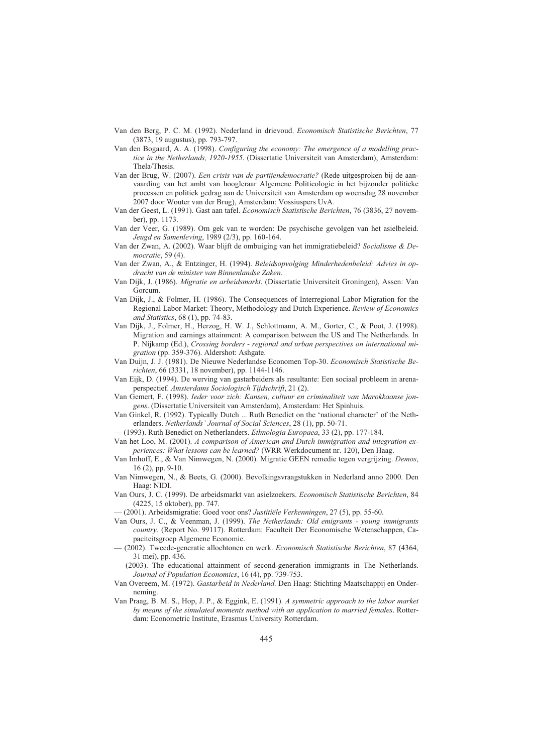- Van den Berg, P. C. M. (1992). Nederland in drievoud. *Economisch Statistische Berichten*, 77 (3873, 19 augustus), pp. 793-797.
- Van den Bogaard, A. A. (1998). *Configuring the economy: The emergence of a modelling practice in the Netherlands, 1920-1955*. (Dissertatie Universiteit van Amsterdam), Amsterdam: Thela/Thesis.
- Van der Brug, W. (2007). *Een crisis van de partijendemocratie?* (Rede uitgesproken bij de aanvaarding van het ambt van hoogleraar Algemene Politicologie in het bijzonder politieke processen en politiek gedrag aan de Universiteit van Amsterdam op woensdag 28 november 2007 door Wouter van der Brug), Amsterdam: Vossiuspers UvA.
- Van der Geest, L. (1991). Gast aan tafel. *Economisch Statistische Berichten*, 76 (3836, 27 november), pp. 1173.
- Van der Veer, G. (1989). Om gek van te worden: De psychische gevolgen van het asielbeleid. *Jeugd en Samenleving*, 1989 (2/3), pp. 160-164.
- Van der Zwan, A. (2002). Waar blijft de ombuiging van het immigratiebeleid? *Socialisme & Democratie*, 59 (4).
- Van der Zwan, A., & Entzinger, H. (1994). *Beleidsopvolging Minderhedenbeleid: Advies in opdracht van de minister van Binnenlandse Zaken*.
- Van Dijk, J. (1986). *Migratie en arbeidsmarkt*. (Dissertatie Universiteit Groningen), Assen: Van Gorcum.
- Van Dijk, J., & Folmer, H. (1986). The Consequences of Interregional Labor Migration for the Regional Labor Market: Theory, Methodology and Dutch Experience. *Review of Economics and Statistics*, 68 (1), pp. 74-83.
- Van Dijk, J., Folmer, H., Herzog, H. W. J., Schlottmann, A. M., Gorter, C., & Poot, J. (1998). Migration and earnings attainment: A comparison between the US and The Netherlands. In P. Nijkamp (Ed.), *Crossing borders - regional and urban perspectives on international migration* (pp. 359-376). Aldershot: Ashgate.
- Van Duijn, J. J. (1981). De Nieuwe Nederlandse Economen Top-30. *Economisch Statistische Berichten*, 66 (3331, 18 november), pp. 1144-1146.
- Van Eijk, D. (1994). De werving van gastarbeiders als resultante: Een sociaal probleem in arenaperspectief. *Amsterdams Sociologisch Tijdschrift*, 21 (2).
- Van Gemert, F. (1998). *Ieder voor zich: Kansen, cultuur en criminaliteit van Marokkaanse jongens*. (Dissertatie Universiteit van Amsterdam), Amsterdam: Het Spinhuis.
- Van Ginkel, R. (1992). Typically Dutch ... Ruth Benedict on the 'national character' of the Netherlanders. *Netherlands' Journal of Social Sciences*, 28 (1), pp. 50-71.
- (1993). Ruth Benedict on Netherlanders. *Ethnologia Europaea*, 33 (2), pp. 177-184.
- Van het Loo, M. (2001). *A comparison of American and Dutch immigration and integration experiences: What lessons can be learned?* (WRR Werkdocument nr. 120), Den Haag.
- Van Imhoff, E., & Van Nimwegen, N. (2000). Migratie GEEN remedie tegen vergrijzing. *Demos*, 16 (2), pp. 9-10.
- Van Nimwegen, N., & Beets, G. (2000). Bevolkingsvraagstukken in Nederland anno 2000. Den Haag: NIDI.
- Van Ours, J. C. (1999). De arbeidsmarkt van asielzoekers. *Economisch Statistische Berichten*, 84 (4225, 15 oktober), pp. 747.
- (2001). Arbeidsmigratie: Goed voor ons? *Justitiële Verkenningen*, 27 (5), pp. 55-60.
- Van Ours, J. C., & Veenman, J. (1999). *The Netherlands: Old emigrants young immigrants country*. (Report No. 99117). Rotterdam: Faculteit Der Economische Wetenschappen, Capaciteitsgroep Algemene Economie.
- (2002). Tweede-generatie allochtonen en werk. *Economisch Statistische Berichten*, 87 (4364, 31 mei), pp. 436.
- (2003). The educational attainment of second-generation immigrants in The Netherlands. *Journal of Population Economics*, 16 (4), pp. 739-753.
- Van Overeem, M. (1972). *Gastarbeid in Nederland*. Den Haag: Stichting Maatschappij en Onderneming.
- Van Praag, B. M. S., Hop, J. P., & Eggink, E. (1991). *A symmetric approach to the labor market by means of the simulated moments method with an application to married females*. Rotterdam: Econometric Institute, Erasmus University Rotterdam.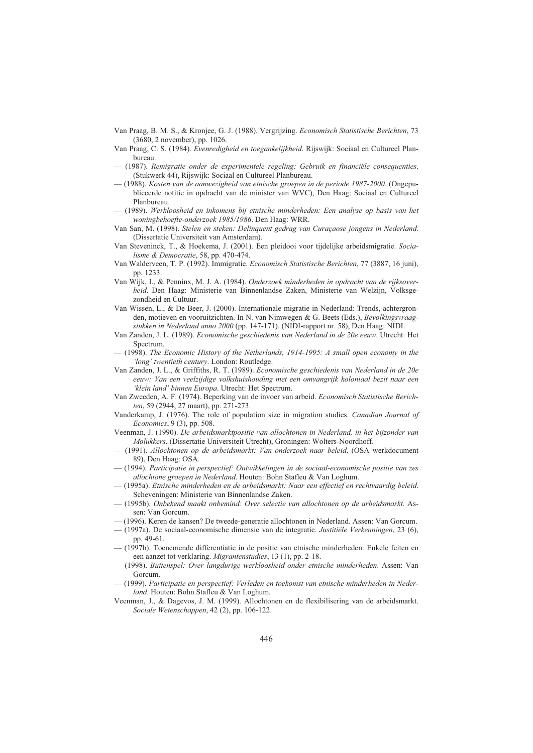- Van Praag, B. M. S., & Kronjee, G. J. (1988). Vergrijzing. *Economisch Statistische Berichten*, 73 (3680, 2 november), pp. 1026.
- Van Praag, C. S. (1984). *Evenredigheid en toegankelijkheid*. Rijswijk: Sociaal en Cultureel Planbureau.
- (1987). *Remigratie onder de experimentele regeling: Gebruik en financiële consequenties*. (Stukwerk 44), Rijswijk: Sociaal en Cultureel Planbureau.
- (1988). *Kosten van de aanwezigheid van etnische groepen in de periode 1987-2000*. (Ongepubliceerde notitie in opdracht van de minister van WVC), Den Haag: Sociaal en Cultureel Planbureau.
- (1989). *Werkloosheid en inkomens bij etnische minderheden: Een analyse op basis van het woningbehoefte-onderzoek 1985/1986*. Den Haag: WRR.
- Van San, M. (1998). *Stelen en steken: Delinquent gedrag van Curaçaose jongens in Nederland*. (Dissertatie Universiteit van Amsterdam).
- Van Steveninck, T., & Hoekema, J. (2001). Een pleidooi voor tijdelijke arbeidsmigratie. *Socialisme & Democratie*, 58, pp. 470-474.
- Van Walderveen, T. P. (1992). Immigratie. *Economisch Statistische Berichten*, 77 (3887, 16 juni), pp. 1233.
- Van Wijk, I., & Penninx, M. J. A. (1984). *Onderzoek minderheden in opdracht van de rijksoverheid*. Den Haag: Ministerie van Binnenlandse Zaken, Ministerie van Welzijn, Volksgezondheid en Cultuur.
- Van Wissen, L., & De Beer, J. (2000). Internationale migratie in Nederland: Trends, achtergronden, motieven en vooruitzichten. In N. van Nimwegen & G. Beets (Eds.), *Bevolkingsvraagstukken in Nederland anno 2000* (pp. 147-171). (NIDI-rapport nr. 58), Den Haag: NIDI.
- Van Zanden, J. L. (1989). *Economische geschiedenis van Nederland in de 20e eeuw*. Utrecht: Het Spectrum.
- (1998). *The Economic History of the Netherlands, 1914-1995: A small open economy in the 'long' twentieth century*. London: Routledge.
- Van Zanden, J. L., & Griffiths, R. T. (1989). *Economische geschiedenis van Nederland in de 20e eeuw: Van een veelzijdige volkshuishouding met een omvangrijk koloniaal bezit naar een 'klein land' binnen Europa*. Utrecht: Het Spectrum.
- Van Zweeden, A. F. (1974). Beperking van de invoer van arbeid. *Economisch Statistische Berichten*, 59 (2944, 27 maart), pp. 271-273.
- Vanderkamp, J. (1976). The role of population size in migration studies. *Canadian Journal of Economics*, 9 (3), pp. 508.
- Veenman, J. (1990). *De arbeidsmarktpositie van allochtonen in Nederland, in het bijzonder van Molukkers*. (Dissertatie Universiteit Utrecht), Groningen: Wolters-Noordhoff.
- (1991). *Allochtonen op de arbeidsmarkt: Van onderzoek naar beleid*. (OSA werkdocument 89), Den Haag: OSA.
- (1994). *Participatie in perspectief: Ontwikkelingen in de sociaal-economische positie van zes allochtone groepen in Nederland*. Houten: Bohn Stafleu & Van Loghum.
- (1995a). *Etnische minderheden en de arbeidsmarkt: Naar een effectief en rechtvaardig beleid*. Scheveningen: Ministerie van Binnenlandse Zaken.
- (1995b). *Onbekend maakt onbemind: Over selectie van allochtonen op de arbeidsmarkt*. Assen: Van Gorcum.
- (1996). Keren de kansen? De tweede-generatie allochtonen in Nederland. Assen: Van Gorcum.
- (1997a). De sociaal-economische dimensie van de integratie. *Justitiële Verkenningen*, 23 (6), pp. 49-61.
- (1997b). Toenemende differentiatie in de positie van etnische minderheden: Enkele feiten en een aanzet tot verklaring. *Migrantenstudies*, 13 (1), pp. 2-18.
- (1998). *Buitenspel: Over langdurige werkloosheid onder etnische minderheden*. Assen: Van Gorcum.
- (1999). *Participatie en perspectief: Verleden en toekomst van etnische minderheden in Nederland*. Houten: Bohn Stafleu & Van Loghum.
- Veenman, J., & Dagevos, J. M. (1999). Allochtonen en de flexibilisering van de arbeidsmarkt. *Sociale Wetenschappen*, 42 (2), pp. 106-122.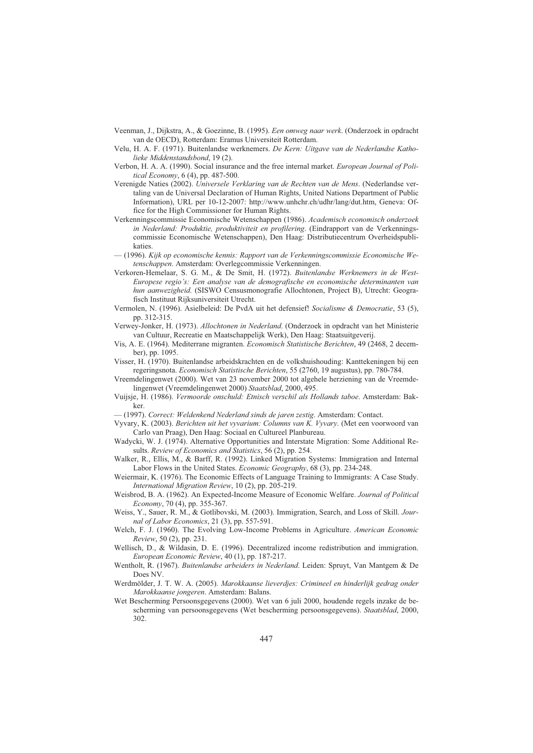- Veenman, J., Dijkstra, A., & Goezinne, B. (1995). *Een omweg naar werk*. (Onderzoek in opdracht van de OECD), Rotterdam: Eramus Universiteit Rotterdam.
- Velu, H. A. F. (1971). Buitenlandse werknemers. *De Kern: Uitgave van de Nederlandse Katholieke Middenstandsbond*, 19 (2).
- Verbon, H. A. A. (1990). Social insurance and the free internal market. *European Journal of Political Economy*, 6 (4), pp. 487-500.
- Verenigde Naties (2002). *Universele Verklaring van de Rechten van de Mens*. (Nederlandse vertaling van de Universal Declaration of Human Rights, United Nations Department of Public Information), URL per 10-12-2007: http://www.unhchr.ch/udhr/lang/dut.htm, Geneva: Office for the High Commissioner for Human Rights.
- Verkenningscommissie Economische Wetenschappen (1986). *Academisch economisch onderzoek in Nederland: Produktie, produktiviteit en profilering*. (Eindrapport van de Verkenningscommissie Economische Wetenschappen), Den Haag: Distributiecentrum Overheidspublikaties.
- (1996). *Kijk op economische kennis: Rapport van de Verkenningscommissie Economische Wetenschappen*. Amsterdam: Overlegcommissie Verkenningen.
- Verkoren-Hemelaar, S. G. M., & De Smit, H. (1972). *Buitenlandse Werknemers in de West-Europese regio's: Een analyse van de demografische en economische determinanten van hun aanwezigheid*. (SISWO Censusmonografie Allochtonen, Project B), Utrecht: Geografisch Instituut Rijksuniversiteit Utrecht.
- Vermolen, N. (1996). Asielbeleid: De PvdA uit het defensief! *Socialisme & Democratie*, 53 (5), pp. 312-315.
- Verwey-Jonker, H. (1973). *Allochtonen in Nederland*. (Onderzoek in opdracht van het Ministerie van Cultuur, Recreatie en Maatschappelijk Werk), Den Haag: Staatsuitgeverij.
- Vis, A. E. (1964). Mediterrane migranten. *Economisch Statistische Berichten*, 49 (2468, 2 december), pp. 1095.
- Visser, H. (1970). Buitenlandse arbeidskrachten en de volkshuishouding: Kanttekeningen bij een regeringsnota. *Economisch Statistische Berichten*, 55 (2760, 19 augustus), pp. 780-784.
- Vreemdelingenwet (2000). Wet van 23 november 2000 tot algehele herziening van de Vreemdelingenwet (Vreemdelingenwet 2000) *Staatsblad*, 2000, 495.
- Vuijsje, H. (1986). *Vermoorde onschuld: Etnisch verschil als Hollands taboe*. Amsterdam: Bakker.
- (1997). *Correct: Weldenkend Nederland sinds de jaren zestig*. Amsterdam: Contact.
- Vyvary, K. (2003). *Berichten uit het vyvarium: Columns van K. Vyvary*. (Met een voorwoord van Carlo van Praag), Den Haag: Sociaal en Cultureel Planbureau.
- Wadycki, W. J. (1974). Alternative Opportunities and Interstate Migration: Some Additional Results. *Review of Economics and Statistics*, 56 (2), pp. 254.
- Walker, R., Ellis, M., & Barff, R. (1992). Linked Migration Systems: Immigration and Internal Labor Flows in the United States. *Economic Geography*, 68 (3), pp. 234-248.
- Weiermair, K. (1976). The Economic Effects of Language Training to Immigrants: A Case Study. *International Migration Review*, 10 (2), pp. 205-219.
- Weisbrod, B. A. (1962). An Expected-Income Measure of Economic Welfare. *Journal of Political Economy*, 70 (4), pp. 355-367.
- Weiss, Y., Sauer, R. M., & Gotlibovski, M. (2003). Immigration, Search, and Loss of Skill. *Journal of Labor Economics*, 21 (3), pp. 557-591.
- Welch, F. J. (1960). The Evolving Low-Income Problems in Agriculture. *American Economic Review*, 50 (2), pp. 231.
- Wellisch, D., & Wildasin, D. E. (1996). Decentralized income redistribution and immigration. *European Economic Review*, 40 (1), pp. 187-217.
- Wentholt, R. (1967). *Buitenlandse arbeiders in Nederland*. Leiden: Spruyt, Van Mantgem & De Does NV.
- Werdmölder, J. T. W. A. (2005). *Marokkaanse lieverdjes: Crimineel en hinderlijk gedrag onder Marokkaanse jongeren*. Amsterdam: Balans.
- Wet Bescherming Persoonsgegevens (2000). Wet van 6 juli 2000, houdende regels inzake de bescherming van persoonsgegevens (Wet bescherming persoonsgegevens). *Staatsblad*, 2000, 302.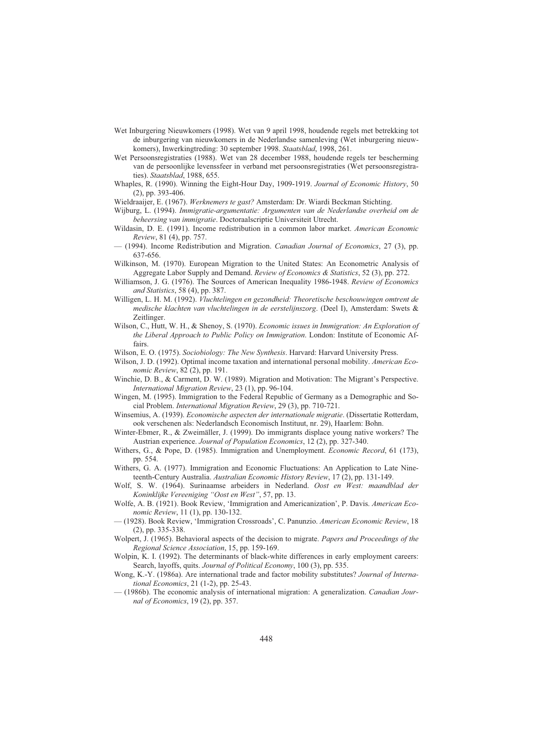- Wet Inburgering Nieuwkomers (1998). Wet van 9 april 1998, houdende regels met betrekking tot de inburgering van nieuwkomers in de Nederlandse samenleving (Wet inburgering nieuwkomers), Inwerkingtreding: 30 september 1998. *Staatsblad*, 1998, 261.
- Wet Persoonsregistraties (1988). Wet van 28 december 1988, houdende regels ter bescherming van de persoonlijke levenssfeer in verband met persoonsregistraties (Wet persoonsregistraties). *Staatsblad*, 1988, 655.
- Whaples, R. (1990). Winning the Eight-Hour Day, 1909-1919. *Journal of Economic History*, 50 (2), pp. 393-406.
- Wieldraaijer, E. (1967). *Werknemers te gast?* Amsterdam: Dr. Wiardi Beckman Stichting.
- Wijburg, L. (1994). *Immigratie-argumentatie: Argumenten van de Nederlandse overheid om de beheersing van immigratie*. Doctoraalscriptie Universiteit Utrecht.
- Wildasin, D. E. (1991). Income redistribution in a common labor market. *American Economic Review*, 81 (4), pp. 757.
- (1994). Income Redistribution and Migration. *Canadian Journal of Economics*, 27 (3), pp. 637-656.
- Wilkinson, M. (1970). European Migration to the United States: An Econometric Analysis of Aggregate Labor Supply and Demand. *Review of Economics & Statistics*, 52 (3), pp. 272.
- Williamson, J. G. (1976). The Sources of American Inequality 1986-1948. *Review of Economics and Statistics*, 58 (4), pp. 387.
- Willigen, L. H. M. (1992). *Vluchtelingen en gezondheid: Theoretische beschouwingen omtrent de medische klachten van vluchtelingen in de eerstelijnszorg*. (Deel I), Amsterdam: Swets & Zeitlinger.
- Wilson, C., Hutt, W. H., & Shenoy, S. (1970). *Economic issues in Immigration: An Exploration of the Liberal Approach to Public Policy on Immigration*. London: Institute of Economic Affairs.
- Wilson, E. O. (1975). *Sociobiology: The New Synthesis*. Harvard: Harvard University Press.
- Wilson, J. D. (1992). Optimal income taxation and international personal mobility. *American Economic Review*, 82 (2), pp. 191.
- Winchie, D. B., & Carment, D. W. (1989). Migration and Motivation: The Migrant's Perspective. *International Migration Review*, 23 (1), pp. 96-104.
- Wingen, M. (1995). Immigration to the Federal Republic of Germany as a Demographic and Social Problem. *International Migration Review*, 29 (3), pp. 710-721.
- Winsemius, A. (1939). *Economische aspecten der internationale migratie*. (Dissertatie Rotterdam, ook verschenen als: Nederlandsch Economisch Instituut, nr. 29), Haarlem: Bohn.
- Winter-Ebmer, R., & Zweimäller, J. (1999). Do immigrants displace young native workers? The Austrian experience. *Journal of Population Economics*, 12 (2), pp. 327-340.
- Withers, G., & Pope, D. (1985). Immigration and Unemployment. *Economic Record*, 61 (173), pp. 554.
- Withers, G. A. (1977). Immigration and Economic Fluctuations: An Application to Late Nineteenth-Century Australia. *Australian Economic History Review*, 17 (2), pp. 131-149.
- Wolf, S. W. (1964). Surinaamse arbeiders in Nederland. *Oost en West: maandblad der*  Koninklijke Vereeniging "Oost en West", 57, pp. 13.
- Wolfe, A. B. (1921). Book Review, 'Immigration and Americanization', P. Davis. *American Economic Review*, 11 (1), pp. 130-132.
- (1928). Book Review, 'Immigration Crossroads', C. Panunzio. *American Economic Review*, 18 (2), pp. 335-338.
- Wolpert, J. (1965). Behavioral aspects of the decision to migrate. *Papers and Proceedings of the Regional Science Association*, 15, pp. 159-169.
- Wolpin, K. I. (1992). The determinants of black-white differences in early employment careers: Search, layoffs, quits. *Journal of Political Economy*, 100 (3), pp. 535.
- Wong, K.-Y. (1986a). Are international trade and factor mobility substitutes? *Journal of International Economics*, 21 (1-2), pp. 25-43.
- (1986b). The economic analysis of international migration: A generalization. *Canadian Journal of Economics*, 19 (2), pp. 357.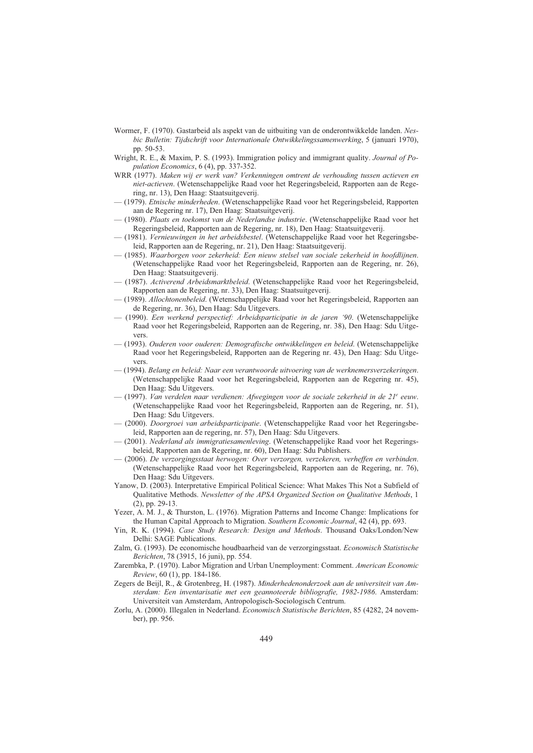- Wormer, F. (1970). Gastarbeid als aspekt van de uitbuiting van de onderontwikkelde landen. *Nesbic Bulletin: Tijdschrift voor Internationale Ontwikkelingssamenwerking*, 5 (januari 1970), pp. 50-53.
- Wright, R. E., & Maxim, P. S. (1993). Immigration policy and immigrant quality. *Journal of Population Economics*, 6 (4), pp. 337-352.
- WRR (1977). *Maken wij er werk van? Verkenningen omtrent de verhouding tussen actieven en niet-actieven*. (Wetenschappelijke Raad voor het Regeringsbeleid, Rapporten aan de Regering, nr. 13), Den Haag: Staatsuitgeverij.
- (1979). *Etnische minderheden*. (Wetenschappelijke Raad voor het Regeringsbeleid, Rapporten aan de Regering nr. 17), Den Haag: Staatsuitgeverij.
- (1980). *Plaats en toekomst van de Nederlandse industrie*. (Wetenschappelijke Raad voor het Regeringsbeleid, Rapporten aan de Regering, nr. 18), Den Haag: Staatsuitgeverij.
- (1981). *Vernieuwingen in het arbeidsbestel*. (Wetenschappelijke Raad voor het Regeringsbeleid, Rapporten aan de Regering, nr. 21), Den Haag: Staatsuitgeverij.
- (1985). *Waarborgen voor zekerheid: Een nieuw stelsel van sociale zekerheid in hoofdlijnen*. (Wetenschappelijke Raad voor het Regeringsbeleid, Rapporten aan de Regering, nr. 26), Den Haag: Staatsuitgeverij.
- (1987). *Activerend Arbeidsmarktbeleid*. (Wetenschappelijke Raad voor het Regeringsbeleid, Rapporten aan de Regering, nr. 33), Den Haag: Staatsuitgeverij.
- (1989). *Allochtonenbeleid*. (Wetenschappelijke Raad voor het Regeringsbeleid, Rapporten aan de Regering, nr. 36), Den Haag: Sdu Uitgevers.
- (1990). *Een werkend perspectief: Arbeidsparticipatie in de jaren '90*. (Wetenschappelijke Raad voor het Regeringsbeleid, Rapporten aan de Regering, nr. 38), Den Haag: Sdu Uitgevers.
- (1993). *Ouderen voor ouderen: Demografische ontwikkelingen en beleid*. (Wetenschappelijke Raad voor het Regeringsbeleid, Rapporten aan de Regering nr. 43), Den Haag: Sdu Uitgevers.
- (1994). *Belang en beleid: Naar een verantwoorde uitvoering van de werknemersverzekeringen*. (Wetenschappelijke Raad voor het Regeringsbeleid, Rapporten aan de Regering nr. 45), Den Haag: Sdu Uitgevers.
- $-$  (1997). *Van verdelen naar verdienen: Afwegingen voor de sociale zekerheid in de 21<sup>e</sup> eeuw.* (Wetenschappelijke Raad voor het Regeringsbeleid, Rapporten aan de Regering, nr. 51), Den Haag: Sdu Uitgevers.
- (2000). *Doorgroei van arbeidsparticipatie*. (Wetenschappelijke Raad voor het Regeringsbeleid, Rapporten aan de regering, nr. 57), Den Haag: Sdu Uitgevers.
- (2001). *Nederland als immigratiesamenleving*. (Wetenschappelijke Raad voor het Regeringsbeleid, Rapporten aan de Regering, nr. 60), Den Haag: Sdu Publishers.
- (2006). *De verzorgingsstaat herwogen: Over verzorgen, verzekeren, verheffen en verbinden*. (Wetenschappelijke Raad voor het Regeringsbeleid, Rapporten aan de Regering, nr. 76), Den Haag: Sdu Uitgevers.
- Yanow, D. (2003). Interpretative Empirical Political Science: What Makes This Not a Subfield of Qualitative Methods. *Newsletter of the APSA Organized Section on Qualitative Methods*, 1 (2), pp. 29-13.
- Yezer, A. M. J., & Thurston, L. (1976). Migration Patterns and Income Change: Implications for the Human Capital Approach to Migration. *Southern Economic Journal*, 42 (4), pp. 693.
- Yin, R. K. (1994). *Case Study Research: Design and Methods*. Thousand Oaks/London/New Delhi: SAGE Publications.
- Zalm, G. (1993). De economische houdbaarheid van de verzorgingsstaat. *Economisch Statistische Berichten*, 78 (3915, 16 juni), pp. 554.
- Zarembka, P. (1970). Labor Migration and Urban Unemployment: Comment. *American Economic Review*, 60 (1), pp. 184-186.
- Zegers de Beijl, R., & Grotenbreg, H. (1987). *Minderhedenonderzoek aan de universiteit van Amsterdam: Een inventarisatie met een geannoteerde bibliografie, 1982-1986*. Amsterdam: Universiteit van Amsterdam, Antropologisch-Sociologisch Centrum.
- Zorlu, A. (2000). Illegalen in Nederland. *Economisch Statistische Berichten*, 85 (4282, 24 november), pp. 956.